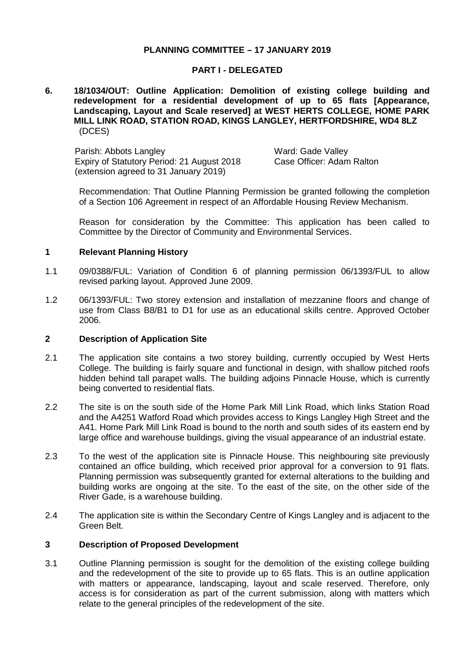## **PLANNING COMMITTEE – 17 JANUARY 2019**

### **PART I - DELEGATED**

### **6. 18/1034/OUT: Outline Application: Demolition of existing college building and redevelopment for a residential development of up to 65 flats [Appearance, Landscaping, Layout and Scale reserved] at WEST HERTS COLLEGE, HOME PARK MILL LINK ROAD, STATION ROAD, KINGS LANGLEY, HERTFORDSHIRE, WD4 8LZ** (DCES)

Parish: Abbots Langley Ward: Gade Valley Expiry of Statutory Period: 21 August 2018 (extension agreed to 31 January 2019)

Case Officer: Adam Ralton

Recommendation: That Outline Planning Permission be granted following the completion of a Section 106 Agreement in respect of an Affordable Housing Review Mechanism.

Reason for consideration by the Committee: This application has been called to Committee by the Director of Community and Environmental Services.

### **1 Relevant Planning History**

- 1.1 09/0388/FUL: Variation of Condition 6 of planning permission 06/1393/FUL to allow revised parking layout. Approved June 2009.
- 1.2 06/1393/FUL: Two storey extension and installation of mezzanine floors and change of use from Class B8/B1 to D1 for use as an educational skills centre. Approved October 2006.

#### **2 Description of Application Site**

- 2.1 The application site contains a two storey building, currently occupied by West Herts College. The building is fairly square and functional in design, with shallow pitched roofs hidden behind tall parapet walls. The building adjoins Pinnacle House, which is currently being converted to residential flats.
- 2.2 The site is on the south side of the Home Park Mill Link Road, which links Station Road and the A4251 Watford Road which provides access to Kings Langley High Street and the A41. Home Park Mill Link Road is bound to the north and south sides of its eastern end by large office and warehouse buildings, giving the visual appearance of an industrial estate.
- 2.3 To the west of the application site is Pinnacle House. This neighbouring site previously contained an office building, which received prior approval for a conversion to 91 flats. Planning permission was subsequently granted for external alterations to the building and building works are ongoing at the site. To the east of the site, on the other side of the River Gade, is a warehouse building.
- 2.4 The application site is within the Secondary Centre of Kings Langley and is adjacent to the Green Belt.

### **3 Description of Proposed Development**

3.1 Outline Planning permission is sought for the demolition of the existing college building and the redevelopment of the site to provide up to 65 flats. This is an outline application with matters or appearance, landscaping, layout and scale reserved. Therefore, only access is for consideration as part of the current submission, along with matters which relate to the general principles of the redevelopment of the site.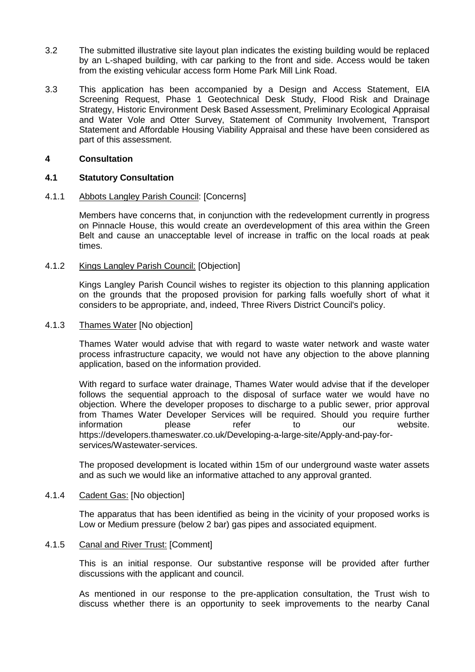- 3.2 The submitted illustrative site layout plan indicates the existing building would be replaced by an L-shaped building, with car parking to the front and side. Access would be taken from the existing vehicular access form Home Park Mill Link Road.
- 3.3 This application has been accompanied by a Design and Access Statement, EIA Screening Request, Phase 1 Geotechnical Desk Study, Flood Risk and Drainage Strategy, Historic Environment Desk Based Assessment, Preliminary Ecological Appraisal and Water Vole and Otter Survey, Statement of Community Involvement, Transport Statement and Affordable Housing Viability Appraisal and these have been considered as part of this assessment.

## **4 Consultation**

## **4.1 Statutory Consultation**

## 4.1.1 Abbots Langley Parish Council: [Concerns]

Members have concerns that, in conjunction with the redevelopment currently in progress on Pinnacle House, this would create an overdevelopment of this area within the Green Belt and cause an unacceptable level of increase in traffic on the local roads at peak times.

## 4.1.2 Kings Langley Parish Council: [Objection]

Kings Langley Parish Council wishes to register its objection to this planning application on the grounds that the proposed provision for parking falls woefully short of what it considers to be appropriate, and, indeed, Three Rivers District Council's policy.

# 4.1.3 Thames Water [No objection]

Thames Water would advise that with regard to waste water network and waste water process infrastructure capacity, we would not have any objection to the above planning application, based on the information provided.

With regard to surface water drainage, Thames Water would advise that if the developer follows the sequential approach to the disposal of surface water we would have no objection. Where the developer proposes to discharge to a public sewer, prior approval from Thames Water Developer Services will be required. Should you require further information **please** refer to our website. https://developers.thameswater.co.uk/Developing-a-large-site/Apply-and-pay-forservices/Wastewater-services.

The proposed development is located within 15m of our underground waste water assets and as such we would like an informative attached to any approval granted.

### 4.1.4 Cadent Gas: [No objection]

The apparatus that has been identified as being in the vicinity of your proposed works is Low or Medium pressure (below 2 bar) gas pipes and associated equipment.

## 4.1.5 Canal and River Trust: [Comment]

This is an initial response. Our substantive response will be provided after further discussions with the applicant and council.

As mentioned in our response to the pre-application consultation, the Trust wish to discuss whether there is an opportunity to seek improvements to the nearby Canal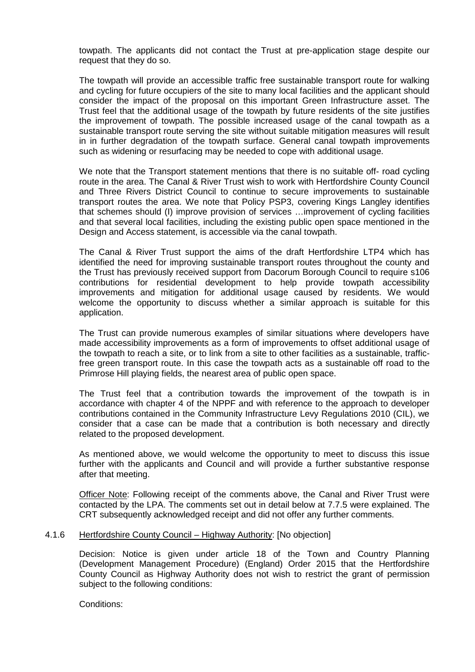towpath. The applicants did not contact the Trust at pre-application stage despite our request that they do so.

The towpath will provide an accessible traffic free sustainable transport route for walking and cycling for future occupiers of the site to many local facilities and the applicant should consider the impact of the proposal on this important Green Infrastructure asset. The Trust feel that the additional usage of the towpath by future residents of the site justifies the improvement of towpath. The possible increased usage of the canal towpath as a sustainable transport route serving the site without suitable mitigation measures will result in in further degradation of the towpath surface. General canal towpath improvements such as widening or resurfacing may be needed to cope with additional usage.

We note that the Transport statement mentions that there is no suitable off- road cycling route in the area. The Canal & River Trust wish to work with Hertfordshire County Council and Three Rivers District Council to continue to secure improvements to sustainable transport routes the area. We note that Policy PSP3, covering Kings Langley identifies that schemes should (I) improve provision of services …improvement of cycling facilities and that several local facilities, including the existing public open space mentioned in the Design and Access statement, is accessible via the canal towpath.

The Canal & River Trust support the aims of the draft Hertfordshire LTP4 which has identified the need for improving sustainable transport routes throughout the county and the Trust has previously received support from Dacorum Borough Council to require s106 contributions for residential development to help provide towpath accessibility improvements and mitigation for additional usage caused by residents. We would welcome the opportunity to discuss whether a similar approach is suitable for this application.

The Trust can provide numerous examples of similar situations where developers have made accessibility improvements as a form of improvements to offset additional usage of the towpath to reach a site, or to link from a site to other facilities as a sustainable, trafficfree green transport route. In this case the towpath acts as a sustainable off road to the Primrose Hill playing fields, the nearest area of public open space.

The Trust feel that a contribution towards the improvement of the towpath is in accordance with chapter 4 of the NPPF and with reference to the approach to developer contributions contained in the Community Infrastructure Levy Regulations 2010 (CIL), we consider that a case can be made that a contribution is both necessary and directly related to the proposed development.

As mentioned above, we would welcome the opportunity to meet to discuss this issue further with the applicants and Council and will provide a further substantive response after that meeting.

Officer Note: Following receipt of the comments above, the Canal and River Trust were contacted by the LPA. The comments set out in detail below at 7.7.5 were explained. The CRT subsequently acknowledged receipt and did not offer any further comments.

### 4.1.6 Hertfordshire County Council – Highway Authority: [No objection]

Decision: Notice is given under article 18 of the Town and Country Planning (Development Management Procedure) (England) Order 2015 that the Hertfordshire County Council as Highway Authority does not wish to restrict the grant of permission subject to the following conditions:

Conditions: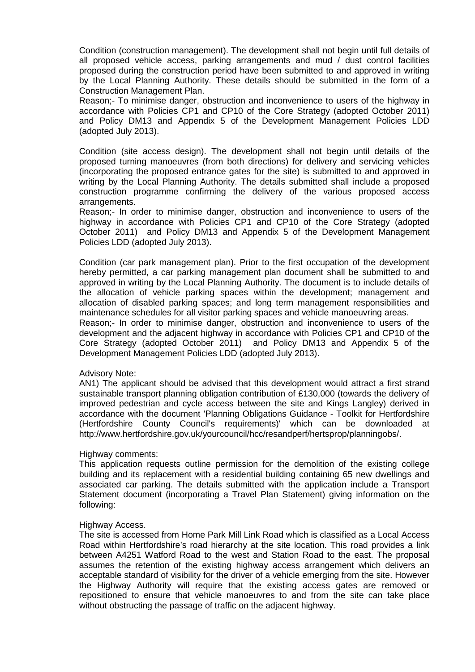Condition (construction management). The development shall not begin until full details of all proposed vehicle access, parking arrangements and mud / dust control facilities proposed during the construction period have been submitted to and approved in writing by the Local Planning Authority. These details should be submitted in the form of a Construction Management Plan.

Reason;- To minimise danger, obstruction and inconvenience to users of the highway in accordance with Policies CP1 and CP10 of the Core Strategy (adopted October 2011) and Policy DM13 and Appendix 5 of the Development Management Policies LDD (adopted July 2013).

Condition (site access design). The development shall not begin until details of the proposed turning manoeuvres (from both directions) for delivery and servicing vehicles (incorporating the proposed entrance gates for the site) is submitted to and approved in writing by the Local Planning Authority. The details submitted shall include a proposed construction programme confirming the delivery of the various proposed access arrangements.

Reason;- In order to minimise danger, obstruction and inconvenience to users of the highway in accordance with Policies CP1 and CP10 of the Core Strategy (adopted October 2011) and Policy DM13 and Appendix 5 of the Development Management Policies LDD (adopted July 2013).

Condition (car park management plan). Prior to the first occupation of the development hereby permitted, a car parking management plan document shall be submitted to and approved in writing by the Local Planning Authority. The document is to include details of the allocation of vehicle parking spaces within the development; management and allocation of disabled parking spaces; and long term management responsibilities and maintenance schedules for all visitor parking spaces and vehicle manoeuvring areas.

Reason;- In order to minimise danger, obstruction and inconvenience to users of the development and the adjacent highway in accordance with Policies CP1 and CP10 of the Core Strategy (adopted October 2011) and Policy DM13 and Appendix 5 of the Development Management Policies LDD (adopted July 2013).

### Advisory Note:

AN1) The applicant should be advised that this development would attract a first strand sustainable transport planning obligation contribution of £130,000 (towards the delivery of improved pedestrian and cycle access between the site and Kings Langley) derived in accordance with the document 'Planning Obligations Guidance - Toolkit for Hertfordshire (Hertfordshire County Council's requirements)' which can be downloaded at http://www.hertfordshire.gov.uk/yourcouncil/hcc/resandperf/hertsprop/planningobs/.

### Highway comments:

This application requests outline permission for the demolition of the existing college building and its replacement with a residential building containing 65 new dwellings and associated car parking. The details submitted with the application include a Transport Statement document (incorporating a Travel Plan Statement) giving information on the following:

### Highway Access.

The site is accessed from Home Park Mill Link Road which is classified as a Local Access Road within Hertfordshire's road hierarchy at the site location. This road provides a link between A4251 Watford Road to the west and Station Road to the east. The proposal assumes the retention of the existing highway access arrangement which delivers an acceptable standard of visibility for the driver of a vehicle emerging from the site. However the Highway Authority will require that the existing access gates are removed or repositioned to ensure that vehicle manoeuvres to and from the site can take place without obstructing the passage of traffic on the adjacent highway.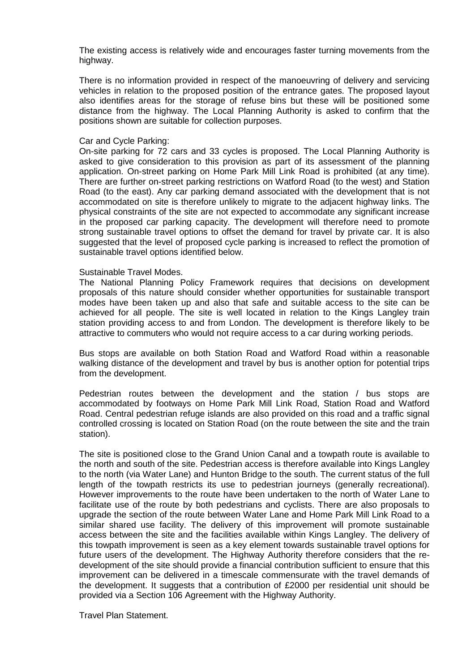The existing access is relatively wide and encourages faster turning movements from the highway.

There is no information provided in respect of the manoeuvring of delivery and servicing vehicles in relation to the proposed position of the entrance gates. The proposed layout also identifies areas for the storage of refuse bins but these will be positioned some distance from the highway. The Local Planning Authority is asked to confirm that the positions shown are suitable for collection purposes.

### Car and Cycle Parking:

On-site parking for 72 cars and 33 cycles is proposed. The Local Planning Authority is asked to give consideration to this provision as part of its assessment of the planning application. On-street parking on Home Park Mill Link Road is prohibited (at any time). There are further on-street parking restrictions on Watford Road (to the west) and Station Road (to the east). Any car parking demand associated with the development that is not accommodated on site is therefore unlikely to migrate to the adjacent highway links. The physical constraints of the site are not expected to accommodate any significant increase in the proposed car parking capacity. The development will therefore need to promote strong sustainable travel options to offset the demand for travel by private car. It is also suggested that the level of proposed cycle parking is increased to reflect the promotion of sustainable travel options identified below.

#### Sustainable Travel Modes.

The National Planning Policy Framework requires that decisions on development proposals of this nature should consider whether opportunities for sustainable transport modes have been taken up and also that safe and suitable access to the site can be achieved for all people. The site is well located in relation to the Kings Langley train station providing access to and from London. The development is therefore likely to be attractive to commuters who would not require access to a car during working periods.

Bus stops are available on both Station Road and Watford Road within a reasonable walking distance of the development and travel by bus is another option for potential trips from the development.

Pedestrian routes between the development and the station / bus stops are accommodated by footways on Home Park Mill Link Road, Station Road and Watford Road. Central pedestrian refuge islands are also provided on this road and a traffic signal controlled crossing is located on Station Road (on the route between the site and the train station).

The site is positioned close to the Grand Union Canal and a towpath route is available to the north and south of the site. Pedestrian access is therefore available into Kings Langley to the north (via Water Lane) and Hunton Bridge to the south. The current status of the full length of the towpath restricts its use to pedestrian journeys (generally recreational). However improvements to the route have been undertaken to the north of Water Lane to facilitate use of the route by both pedestrians and cyclists. There are also proposals to upgrade the section of the route between Water Lane and Home Park Mill Link Road to a similar shared use facility. The delivery of this improvement will promote sustainable access between the site and the facilities available within Kings Langley. The delivery of this towpath improvement is seen as a key element towards sustainable travel options for future users of the development. The Highway Authority therefore considers that the redevelopment of the site should provide a financial contribution sufficient to ensure that this improvement can be delivered in a timescale commensurate with the travel demands of the development. It suggests that a contribution of £2000 per residential unit should be provided via a Section 106 Agreement with the Highway Authority.

Travel Plan Statement.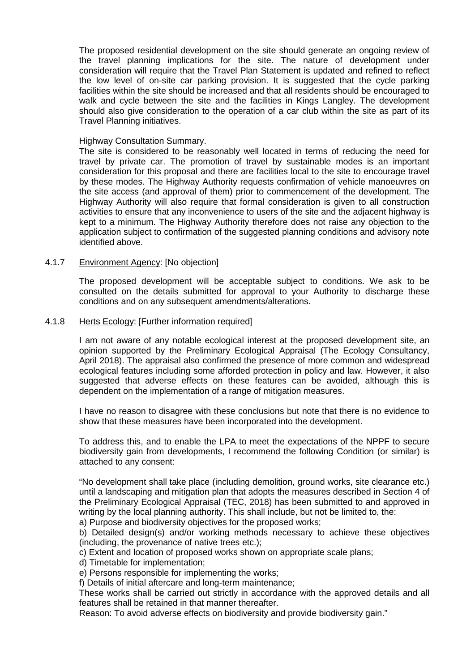The proposed residential development on the site should generate an ongoing review of the travel planning implications for the site. The nature of development under consideration will require that the Travel Plan Statement is updated and refined to reflect the low level of on-site car parking provision. It is suggested that the cycle parking facilities within the site should be increased and that all residents should be encouraged to walk and cycle between the site and the facilities in Kings Langley. The development should also give consideration to the operation of a car club within the site as part of its Travel Planning initiatives.

### Highway Consultation Summary.

The site is considered to be reasonably well located in terms of reducing the need for travel by private car. The promotion of travel by sustainable modes is an important consideration for this proposal and there are facilities local to the site to encourage travel by these modes. The Highway Authority requests confirmation of vehicle manoeuvres on the site access (and approval of them) prior to commencement of the development. The Highway Authority will also require that formal consideration is given to all construction activities to ensure that any inconvenience to users of the site and the adjacent highway is kept to a minimum. The Highway Authority therefore does not raise any objection to the application subject to confirmation of the suggested planning conditions and advisory note identified above.

## 4.1.7 Environment Agency: [No objection]

The proposed development will be acceptable subject to conditions. We ask to be consulted on the details submitted for approval to your Authority to discharge these conditions and on any subsequent amendments/alterations.

### 4.1.8 Herts Ecology: [Further information required]

I am not aware of any notable ecological interest at the proposed development site, an opinion supported by the Preliminary Ecological Appraisal (The Ecology Consultancy, April 2018). The appraisal also confirmed the presence of more common and widespread ecological features including some afforded protection in policy and law. However, it also suggested that adverse effects on these features can be avoided, although this is dependent on the implementation of a range of mitigation measures.

I have no reason to disagree with these conclusions but note that there is no evidence to show that these measures have been incorporated into the development.

To address this, and to enable the LPA to meet the expectations of the NPPF to secure biodiversity gain from developments, I recommend the following Condition (or similar) is attached to any consent:

"No development shall take place (including demolition, ground works, site clearance etc.) until a landscaping and mitigation plan that adopts the measures described in Section 4 of the Preliminary Ecological Appraisal (TEC, 2018) has been submitted to and approved in writing by the local planning authority. This shall include, but not be limited to, the:

a) Purpose and biodiversity objectives for the proposed works;

b) Detailed design(s) and/or working methods necessary to achieve these objectives (including, the provenance of native trees etc.);

c) Extent and location of proposed works shown on appropriate scale plans;

d) Timetable for implementation;

e) Persons responsible for implementing the works;

f) Details of initial aftercare and long-term maintenance;

These works shall be carried out strictly in accordance with the approved details and all features shall be retained in that manner thereafter.

Reason: To avoid adverse effects on biodiversity and provide biodiversity gain."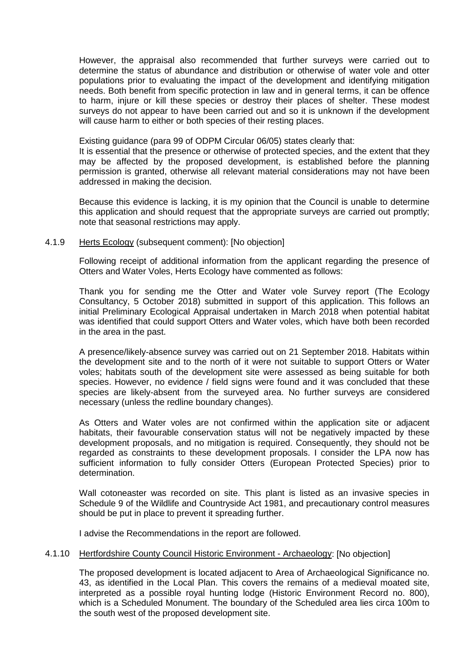However, the appraisal also recommended that further surveys were carried out to determine the status of abundance and distribution or otherwise of water vole and otter populations prior to evaluating the impact of the development and identifying mitigation needs. Both benefit from specific protection in law and in general terms, it can be offence to harm, injure or kill these species or destroy their places of shelter. These modest surveys do not appear to have been carried out and so it is unknown if the development will cause harm to either or both species of their resting places.

Existing guidance (para 99 of ODPM Circular 06/05) states clearly that:

It is essential that the presence or otherwise of protected species, and the extent that they may be affected by the proposed development, is established before the planning permission is granted, otherwise all relevant material considerations may not have been addressed in making the decision.

Because this evidence is lacking, it is my opinion that the Council is unable to determine this application and should request that the appropriate surveys are carried out promptly; note that seasonal restrictions may apply.

### 4.1.9 Herts Ecology (subsequent comment): [No objection]

Following receipt of additional information from the applicant regarding the presence of Otters and Water Voles, Herts Ecology have commented as follows:

Thank you for sending me the Otter and Water vole Survey report (The Ecology Consultancy, 5 October 2018) submitted in support of this application. This follows an initial Preliminary Ecological Appraisal undertaken in March 2018 when potential habitat was identified that could support Otters and Water voles, which have both been recorded in the area in the past.

A presence/likely-absence survey was carried out on 21 September 2018. Habitats within the development site and to the north of it were not suitable to support Otters or Water voles; habitats south of the development site were assessed as being suitable for both species. However, no evidence / field signs were found and it was concluded that these species are likely-absent from the surveyed area. No further surveys are considered necessary (unless the redline boundary changes).

As Otters and Water voles are not confirmed within the application site or adjacent habitats, their favourable conservation status will not be negatively impacted by these development proposals, and no mitigation is required. Consequently, they should not be regarded as constraints to these development proposals. I consider the LPA now has sufficient information to fully consider Otters (European Protected Species) prior to determination.

Wall cotoneaster was recorded on site. This plant is listed as an invasive species in Schedule 9 of the Wildlife and Countryside Act 1981, and precautionary control measures should be put in place to prevent it spreading further.

I advise the Recommendations in the report are followed.

#### 4.1.10 Hertfordshire County Council Historic Environment - Archaeology: [No objection]

The proposed development is located adjacent to Area of Archaeological Significance no. 43, as identified in the Local Plan. This covers the remains of a medieval moated site, interpreted as a possible royal hunting lodge (Historic Environment Record no. 800), which is a Scheduled Monument. The boundary of the Scheduled area lies circa 100m to the south west of the proposed development site.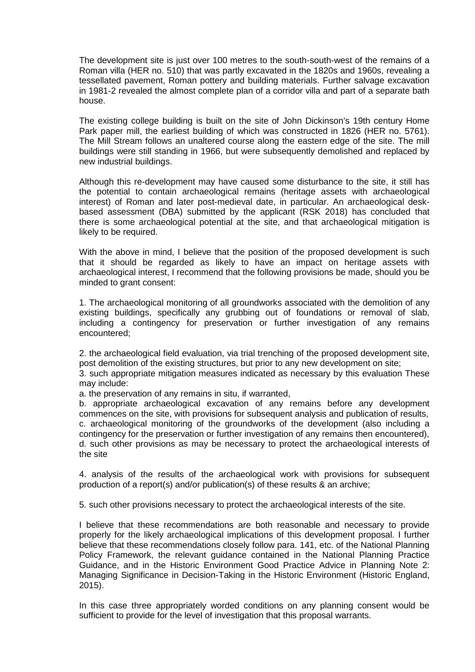The development site is just over 100 metres to the south-south-west of the remains of a Roman villa (HER no. 510) that was partly excavated in the 1820s and 1960s, revealing a tessellated pavement, Roman pottery and building materials. Further salvage excavation in 1981-2 revealed the almost complete plan of a corridor villa and part of a separate bath house.

The existing college building is built on the site of John Dickinson's 19th century Home Park paper mill, the earliest building of which was constructed in 1826 (HER no. 5761). The Mill Stream follows an unaltered course along the eastern edge of the site. The mill buildings were still standing in 1966, but were subsequently demolished and replaced by new industrial buildings.

Although this re-development may have caused some disturbance to the site, it still has the potential to contain archaeological remains (heritage assets with archaeological interest) of Roman and later post-medieval date, in particular. An archaeological deskbased assessment (DBA) submitted by the applicant (RSK 2018) has concluded that there is some archaeological potential at the site, and that archaeological mitigation is likely to be required.

With the above in mind, I believe that the position of the proposed development is such that it should be regarded as likely to have an impact on heritage assets with archaeological interest, I recommend that the following provisions be made, should you be minded to grant consent:

1. The archaeological monitoring of all groundworks associated with the demolition of any existing buildings, specifically any grubbing out of foundations or removal of slab, including a contingency for preservation or further investigation of any remains encountered;

2. the archaeological field evaluation, via trial trenching of the proposed development site, post demolition of the existing structures, but prior to any new development on site;

3. such appropriate mitigation measures indicated as necessary by this evaluation These may include:

a. the preservation of any remains in situ, if warranted,

b. appropriate archaeological excavation of any remains before any development commences on the site, with provisions for subsequent analysis and publication of results, c. archaeological monitoring of the groundworks of the development (also including a contingency for the preservation or further investigation of any remains then encountered), d. such other provisions as may be necessary to protect the archaeological interests of the site

4. analysis of the results of the archaeological work with provisions for subsequent production of a report(s) and/or publication(s) of these results & an archive;

5. such other provisions necessary to protect the archaeological interests of the site.

I believe that these recommendations are both reasonable and necessary to provide properly for the likely archaeological implications of this development proposal. I further believe that these recommendations closely follow para. 141, etc. of the National Planning Policy Framework, the relevant guidance contained in the National Planning Practice Guidance, and in the Historic Environment Good Practice Advice in Planning Note 2: Managing Significance in Decision-Taking in the Historic Environment (Historic England, 2015).

In this case three appropriately worded conditions on any planning consent would be sufficient to provide for the level of investigation that this proposal warrants.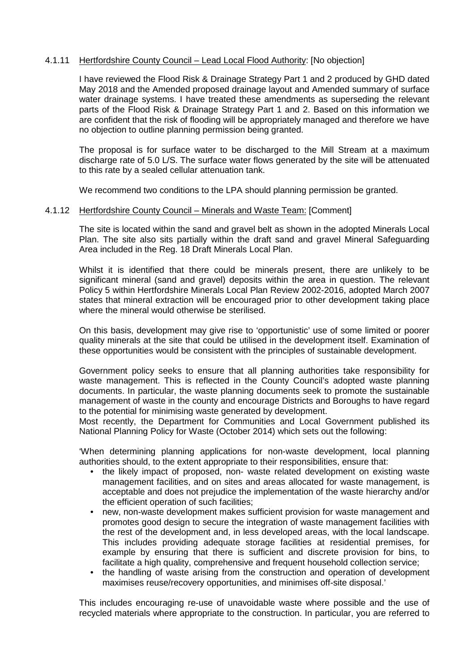## 4.1.11 Hertfordshire County Council – Lead Local Flood Authority: [No objection]

I have reviewed the Flood Risk & Drainage Strategy Part 1 and 2 produced by GHD dated May 2018 and the Amended proposed drainage layout and Amended summary of surface water drainage systems. I have treated these amendments as superseding the relevant parts of the Flood Risk & Drainage Strategy Part 1 and 2. Based on this information we are confident that the risk of flooding will be appropriately managed and therefore we have no objection to outline planning permission being granted.

The proposal is for surface water to be discharged to the Mill Stream at a maximum discharge rate of 5.0 L/S. The surface water flows generated by the site will be attenuated to this rate by a sealed cellular attenuation tank.

We recommend two conditions to the LPA should planning permission be granted.

### 4.1.12 Hertfordshire County Council – Minerals and Waste Team: [Comment]

The site is located within the sand and gravel belt as shown in the adopted Minerals Local Plan. The site also sits partially within the draft sand and gravel Mineral Safeguarding Area included in the Reg. 18 Draft Minerals Local Plan.

Whilst it is identified that there could be minerals present, there are unlikely to be significant mineral (sand and gravel) deposits within the area in question. The relevant Policy 5 within Hertfordshire Minerals Local Plan Review 2002-2016, adopted March 2007 states that mineral extraction will be encouraged prior to other development taking place where the mineral would otherwise be sterilised.

On this basis, development may give rise to 'opportunistic' use of some limited or poorer quality minerals at the site that could be utilised in the development itself. Examination of these opportunities would be consistent with the principles of sustainable development.

Government policy seeks to ensure that all planning authorities take responsibility for waste management. This is reflected in the County Council's adopted waste planning documents. In particular, the waste planning documents seek to promote the sustainable management of waste in the county and encourage Districts and Boroughs to have regard to the potential for minimising waste generated by development.

Most recently, the Department for Communities and Local Government published its National Planning Policy for Waste (October 2014) which sets out the following:

'When determining planning applications for non-waste development, local planning authorities should, to the extent appropriate to their responsibilities, ensure that:

- the likely impact of proposed, non- waste related development on existing waste management facilities, and on sites and areas allocated for waste management, is acceptable and does not prejudice the implementation of the waste hierarchy and/or the efficient operation of such facilities;
- new, non-waste development makes sufficient provision for waste management and promotes good design to secure the integration of waste management facilities with the rest of the development and, in less developed areas, with the local landscape. This includes providing adequate storage facilities at residential premises, for example by ensuring that there is sufficient and discrete provision for bins, to facilitate a high quality, comprehensive and frequent household collection service;
- the handling of waste arising from the construction and operation of development maximises reuse/recovery opportunities, and minimises off-site disposal.'

This includes encouraging re-use of unavoidable waste where possible and the use of recycled materials where appropriate to the construction. In particular, you are referred to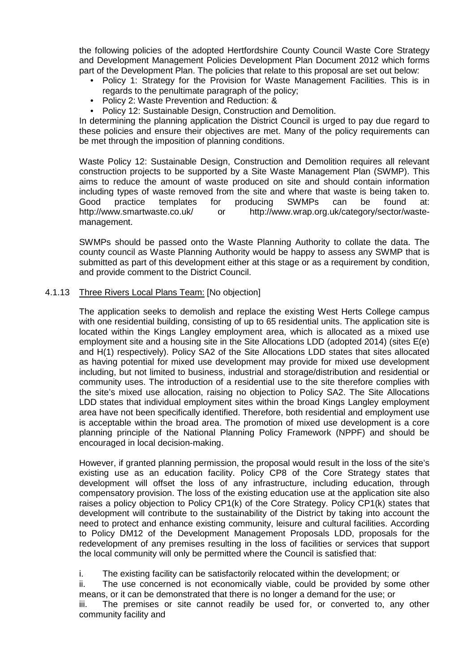the following policies of the adopted Hertfordshire County Council Waste Core Strategy and Development Management Policies Development Plan Document 2012 which forms part of the Development Plan. The policies that relate to this proposal are set out below:

- Policy 1: Strategy for the Provision for Waste Management Facilities. This is in regards to the penultimate paragraph of the policy;
- Policy 2: Waste Prevention and Reduction: &
- Policy 12: Sustainable Design, Construction and Demolition.

In determining the planning application the District Council is urged to pay due regard to these policies and ensure their objectives are met. Many of the policy requirements can be met through the imposition of planning conditions.

Waste Policy 12: Sustainable Design, Construction and Demolition requires all relevant construction projects to be supported by a Site Waste Management Plan (SWMP). This aims to reduce the amount of waste produced on site and should contain information including types of waste removed from the site and where that waste is being taken to.<br>Good practice templates for producing SWMPs can be found at: Good practice templates for producing SWMPs can be found at: http://www.smartwaste.co.uk/ or http://www.wrap.org.uk/category/sector/wastemanagement.

SWMPs should be passed onto the Waste Planning Authority to collate the data. The county council as Waste Planning Authority would be happy to assess any SWMP that is submitted as part of this development either at this stage or as a requirement by condition, and provide comment to the District Council.

## 4.1.13 Three Rivers Local Plans Team: [No objection]

The application seeks to demolish and replace the existing West Herts College campus with one residential building, consisting of up to 65 residential units. The application site is located within the Kings Langley employment area, which is allocated as a mixed use employment site and a housing site in the Site Allocations LDD (adopted 2014) (sites E(e) and H(1) respectively). Policy SA2 of the Site Allocations LDD states that sites allocated as having potential for mixed use development may provide for mixed use development including, but not limited to business, industrial and storage/distribution and residential or community uses. The introduction of a residential use to the site therefore complies with the site's mixed use allocation, raising no objection to Policy SA2. The Site Allocations LDD states that individual employment sites within the broad Kings Langley employment area have not been specifically identified. Therefore, both residential and employment use is acceptable within the broad area. The promotion of mixed use development is a core planning principle of the National Planning Policy Framework (NPPF) and should be encouraged in local decision-making.

However, if granted planning permission, the proposal would result in the loss of the site's existing use as an education facility. Policy CP8 of the Core Strategy states that development will offset the loss of any infrastructure, including education, through compensatory provision. The loss of the existing education use at the application site also raises a policy objection to Policy CP1(k) of the Core Strategy. Policy CP1(k) states that development will contribute to the sustainability of the District by taking into account the need to protect and enhance existing community, leisure and cultural facilities. According to Policy DM12 of the Development Management Proposals LDD, proposals for the redevelopment of any premises resulting in the loss of facilities or services that support the local community will only be permitted where the Council is satisfied that:

i. The existing facility can be satisfactorily relocated within the development; or

ii. The use concerned is not economically viable, could be provided by some other means, or it can be demonstrated that there is no longer a demand for the use; or

iii. The premises or site cannot readily be used for, or converted to, any other community facility and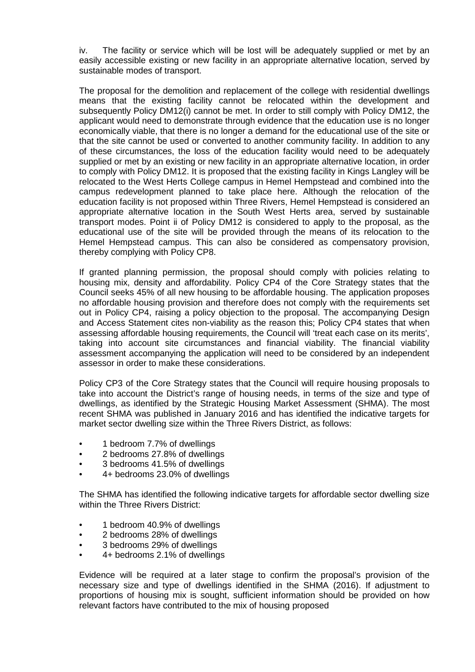iv. The facility or service which will be lost will be adequately supplied or met by an easily accessible existing or new facility in an appropriate alternative location, served by sustainable modes of transport.

The proposal for the demolition and replacement of the college with residential dwellings means that the existing facility cannot be relocated within the development and subsequently Policy DM12(i) cannot be met. In order to still comply with Policy DM12, the applicant would need to demonstrate through evidence that the education use is no longer economically viable, that there is no longer a demand for the educational use of the site or that the site cannot be used or converted to another community facility. In addition to any of these circumstances, the loss of the education facility would need to be adequately supplied or met by an existing or new facility in an appropriate alternative location, in order to comply with Policy DM12. It is proposed that the existing facility in Kings Langley will be relocated to the West Herts College campus in Hemel Hempstead and combined into the campus redevelopment planned to take place here. Although the relocation of the education facility is not proposed within Three Rivers, Hemel Hempstead is considered an appropriate alternative location in the South West Herts area, served by sustainable transport modes. Point ii of Policy DM12 is considered to apply to the proposal, as the educational use of the site will be provided through the means of its relocation to the Hemel Hempstead campus. This can also be considered as compensatory provision, thereby complying with Policy CP8.

If granted planning permission, the proposal should comply with policies relating to housing mix, density and affordability. Policy CP4 of the Core Strategy states that the Council seeks 45% of all new housing to be affordable housing. The application proposes no affordable housing provision and therefore does not comply with the requirements set out in Policy CP4, raising a policy objection to the proposal. The accompanying Design and Access Statement cites non-viability as the reason this; Policy CP4 states that when assessing affordable housing requirements, the Council will 'treat each case on its merits', taking into account site circumstances and financial viability. The financial viability assessment accompanying the application will need to be considered by an independent assessor in order to make these considerations.

Policy CP3 of the Core Strategy states that the Council will require housing proposals to take into account the District's range of housing needs, in terms of the size and type of dwellings, as identified by the Strategic Housing Market Assessment (SHMA). The most recent SHMA was published in January 2016 and has identified the indicative targets for market sector dwelling size within the Three Rivers District, as follows:

- 1 bedroom 7.7% of dwellings
- 2 bedrooms 27.8% of dwellings
- 3 bedrooms 41.5% of dwellings
- 4+ bedrooms 23.0% of dwellings

The SHMA has identified the following indicative targets for affordable sector dwelling size within the Three Rivers District:

- 1 bedroom 40.9% of dwellings
- 2 bedrooms 28% of dwellings
- 3 bedrooms 29% of dwellings
- 4+ bedrooms 2.1% of dwellings

Evidence will be required at a later stage to confirm the proposal's provision of the necessary size and type of dwellings identified in the SHMA (2016). If adjustment to proportions of housing mix is sought, sufficient information should be provided on how relevant factors have contributed to the mix of housing proposed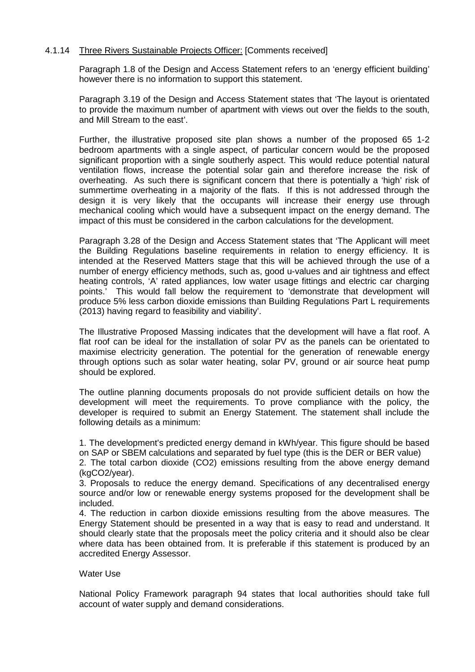## 4.1.14 Three Rivers Sustainable Projects Officer: [Comments received]

Paragraph 1.8 of the Design and Access Statement refers to an 'energy efficient building' however there is no information to support this statement.

Paragraph 3.19 of the Design and Access Statement states that 'The layout is orientated to provide the maximum number of apartment with views out over the fields to the south, and Mill Stream to the east'.

Further, the illustrative proposed site plan shows a number of the proposed 65 1-2 bedroom apartments with a single aspect, of particular concern would be the proposed significant proportion with a single southerly aspect. This would reduce potential natural ventilation flows, increase the potential solar gain and therefore increase the risk of overheating. As such there is significant concern that there is potentially a 'high' risk of summertime overheating in a majority of the flats. If this is not addressed through the design it is very likely that the occupants will increase their energy use through mechanical cooling which would have a subsequent impact on the energy demand. The impact of this must be considered in the carbon calculations for the development.

Paragraph 3.28 of the Design and Access Statement states that 'The Applicant will meet the Building Regulations baseline requirements in relation to energy efficiency. It is intended at the Reserved Matters stage that this will be achieved through the use of a number of energy efficiency methods, such as, good u-values and air tightness and effect heating controls, 'A' rated appliances, low water usage fittings and electric car charging points.' This would fall below the requirement to 'demonstrate that development will produce 5% less carbon dioxide emissions than Building Regulations Part L requirements (2013) having regard to feasibility and viability'.

The Illustrative Proposed Massing indicates that the development will have a flat roof. A flat roof can be ideal for the installation of solar PV as the panels can be orientated to maximise electricity generation. The potential for the generation of renewable energy through options such as solar water heating, solar PV, ground or air source heat pump should be explored.

The outline planning documents proposals do not provide sufficient details on how the development will meet the requirements. To prove compliance with the policy, the developer is required to submit an Energy Statement. The statement shall include the following details as a minimum:

1. The development's predicted energy demand in kWh/year. This figure should be based on SAP or SBEM calculations and separated by fuel type (this is the DER or BER value)

2. The total carbon dioxide (CO2) emissions resulting from the above energy demand (kgCO2/year).

3. Proposals to reduce the energy demand. Specifications of any decentralised energy source and/or low or renewable energy systems proposed for the development shall be included.

4. The reduction in carbon dioxide emissions resulting from the above measures. The Energy Statement should be presented in a way that is easy to read and understand. It should clearly state that the proposals meet the policy criteria and it should also be clear where data has been obtained from. It is preferable if this statement is produced by an accredited Energy Assessor.

### Water Use

National Policy Framework paragraph 94 states that local authorities should take full account of water supply and demand considerations.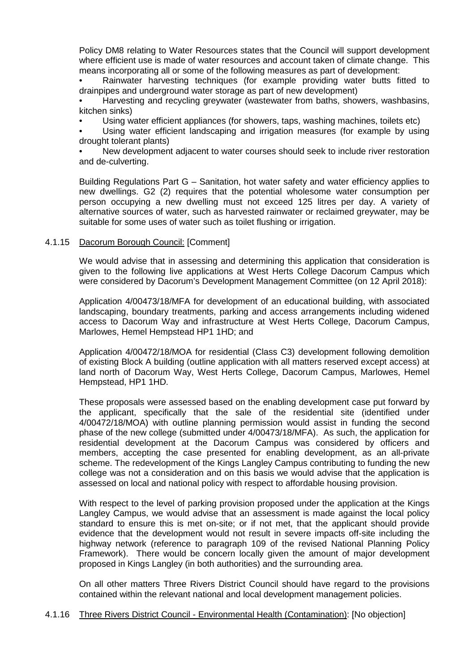Policy DM8 relating to Water Resources states that the Council will support development where efficient use is made of water resources and account taken of climate change. This means incorporating all or some of the following measures as part of development:

• Rainwater harvesting techniques (for example providing water butts fitted to drainpipes and underground water storage as part of new development)

• Harvesting and recycling greywater (wastewater from baths, showers, washbasins, kitchen sinks)

• Using water efficient appliances (for showers, taps, washing machines, toilets etc)

• Using water efficient landscaping and irrigation measures (for example by using drought tolerant plants)

• New development adjacent to water courses should seek to include river restoration and de-culverting.

Building Regulations Part G – Sanitation, hot water safety and water efficiency applies to new dwellings. G2 (2) requires that the potential wholesome water consumption per person occupying a new dwelling must not exceed 125 litres per day. A variety of alternative sources of water, such as harvested rainwater or reclaimed greywater, may be suitable for some uses of water such as toilet flushing or irrigation.

## 4.1.15 Dacorum Borough Council: [Comment]

We would advise that in assessing and determining this application that consideration is given to the following live applications at West Herts College Dacorum Campus which were considered by Dacorum's Development Management Committee (on 12 April 2018):

Application 4/00473/18/MFA for development of an educational building, with associated landscaping, boundary treatments, parking and access arrangements including widened access to Dacorum Way and infrastructure at West Herts College, Dacorum Campus, Marlowes, Hemel Hempstead HP1 1HD; and

Application 4/00472/18/MOA for residential (Class C3) development following demolition of existing Block A building (outline application with all matters reserved except access) at land north of Dacorum Way, West Herts College, Dacorum Campus, Marlowes, Hemel Hempstead, HP1 1HD.

These proposals were assessed based on the enabling development case put forward by the applicant, specifically that the sale of the residential site (identified under 4/00472/18/MOA) with outline planning permission would assist in funding the second phase of the new college (submitted under 4/00473/18/MFA). As such, the application for residential development at the Dacorum Campus was considered by officers and members, accepting the case presented for enabling development, as an all-private scheme. The redevelopment of the Kings Langley Campus contributing to funding the new college was not a consideration and on this basis we would advise that the application is assessed on local and national policy with respect to affordable housing provision.

With respect to the level of parking provision proposed under the application at the Kings Langley Campus, we would advise that an assessment is made against the local policy standard to ensure this is met on-site; or if not met, that the applicant should provide evidence that the development would not result in severe impacts off-site including the highway network (reference to paragraph 109 of the revised National Planning Policy Framework). There would be concern locally given the amount of major development proposed in Kings Langley (in both authorities) and the surrounding area.

On all other matters Three Rivers District Council should have regard to the provisions contained within the relevant national and local development management policies.

## 4.1.16 Three Rivers District Council - Environmental Health (Contamination): [No objection]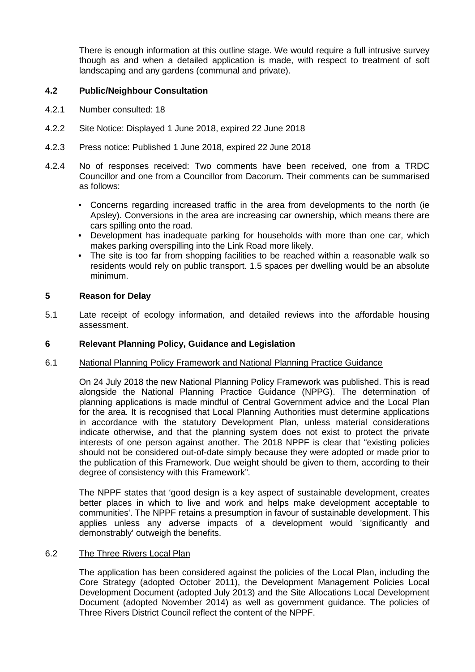There is enough information at this outline stage. We would require a full intrusive survey though as and when a detailed application is made, with respect to treatment of soft landscaping and any gardens (communal and private).

# **4.2 Public/Neighbour Consultation**

- 4.2.1 Number consulted: 18
- 4.2.2 Site Notice: Displayed 1 June 2018, expired 22 June 2018
- 4.2.3 Press notice: Published 1 June 2018, expired 22 June 2018
- 4.2.4 No of responses received: Two comments have been received, one from a TRDC Councillor and one from a Councillor from Dacorum. Their comments can be summarised as follows:
	- Concerns regarding increased traffic in the area from developments to the north (ie Apsley). Conversions in the area are increasing car ownership, which means there are cars spilling onto the road.
	- Development has inadequate parking for households with more than one car, which makes parking overspilling into the Link Road more likely.
	- The site is too far from shopping facilities to be reached within a reasonable walk so residents would rely on public transport. 1.5 spaces per dwelling would be an absolute minimum.

## **5 Reason for Delay**

5.1 Late receipt of ecology information, and detailed reviews into the affordable housing assessment.

### **6 Relevant Planning Policy, Guidance and Legislation**

### 6.1 National Planning Policy Framework and National Planning Practice Guidance

On 24 July 2018 the new National Planning Policy Framework was published. This is read alongside the National Planning Practice Guidance (NPPG). The determination of planning applications is made mindful of Central Government advice and the Local Plan for the area. It is recognised that Local Planning Authorities must determine applications in accordance with the statutory Development Plan, unless material considerations indicate otherwise, and that the planning system does not exist to protect the private interests of one person against another. The 2018 NPPF is clear that "existing policies should not be considered out-of-date simply because they were adopted or made prior to the publication of this Framework. Due weight should be given to them, according to their degree of consistency with this Framework".

The NPPF states that 'good design is a key aspect of sustainable development, creates better places in which to live and work and helps make development acceptable to communities'. The NPPF retains a presumption in favour of sustainable development. This applies unless any adverse impacts of a development would 'significantly and demonstrably' outweigh the benefits.

### 6.2 The Three Rivers Local Plan

The application has been considered against the policies of the Local Plan, including the Core Strategy (adopted October 2011), the Development Management Policies Local Development Document (adopted July 2013) and the Site Allocations Local Development Document (adopted November 2014) as well as government guidance. The policies of Three Rivers District Council reflect the content of the NPPF.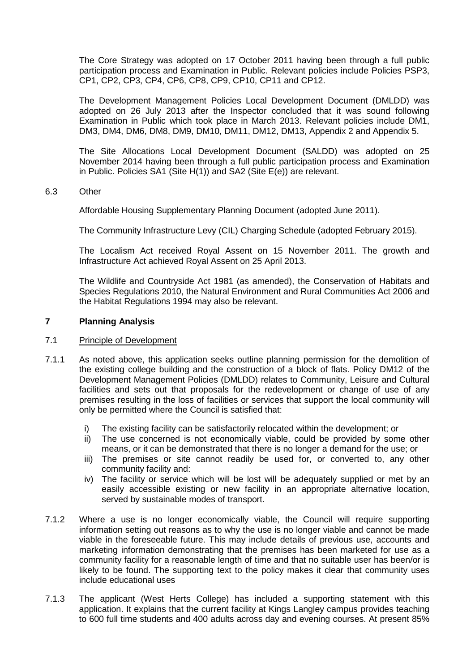The Core Strategy was adopted on 17 October 2011 having been through a full public participation process and Examination in Public. Relevant policies include Policies PSP3, CP1, CP2, CP3, CP4, CP6, CP8, CP9, CP10, CP11 and CP12.

The Development Management Policies Local Development Document (DMLDD) was adopted on 26 July 2013 after the Inspector concluded that it was sound following Examination in Public which took place in March 2013. Relevant policies include DM1, DM3, DM4, DM6, DM8, DM9, DM10, DM11, DM12, DM13, Appendix 2 and Appendix 5.

The Site Allocations Local Development Document (SALDD) was adopted on 25 November 2014 having been through a full public participation process and Examination in Public. Policies SA1 (Site H(1)) and SA2 (Site E(e)) are relevant.

## 6.3 Other

Affordable Housing Supplementary Planning Document (adopted June 2011).

The Community Infrastructure Levy (CIL) Charging Schedule (adopted February 2015).

The Localism Act received Royal Assent on 15 November 2011. The growth and Infrastructure Act achieved Royal Assent on 25 April 2013.

The Wildlife and Countryside Act 1981 (as amended), the Conservation of Habitats and Species Regulations 2010, the Natural Environment and Rural Communities Act 2006 and the Habitat Regulations 1994 may also be relevant.

## **7 Planning Analysis**

### 7.1 Principle of Development

- 7.1.1 As noted above, this application seeks outline planning permission for the demolition of the existing college building and the construction of a block of flats. Policy DM12 of the Development Management Policies (DMLDD) relates to Community, Leisure and Cultural facilities and sets out that proposals for the redevelopment or change of use of any premises resulting in the loss of facilities or services that support the local community will only be permitted where the Council is satisfied that:
	- i) The existing facility can be satisfactorily relocated within the development; or
	- ii) The use concerned is not economically viable, could be provided by some other means, or it can be demonstrated that there is no longer a demand for the use; or
	- iii) The premises or site cannot readily be used for, or converted to, any other community facility and:
	- iv) The facility or service which will be lost will be adequately supplied or met by an easily accessible existing or new facility in an appropriate alternative location, served by sustainable modes of transport.
- 7.1.2 Where a use is no longer economically viable, the Council will require supporting information setting out reasons as to why the use is no longer viable and cannot be made viable in the foreseeable future. This may include details of previous use, accounts and marketing information demonstrating that the premises has been marketed for use as a community facility for a reasonable length of time and that no suitable user has been/or is likely to be found. The supporting text to the policy makes it clear that community uses include educational uses
- 7.1.3 The applicant (West Herts College) has included a supporting statement with this application. It explains that the current facility at Kings Langley campus provides teaching to 600 full time students and 400 adults across day and evening courses. At present 85%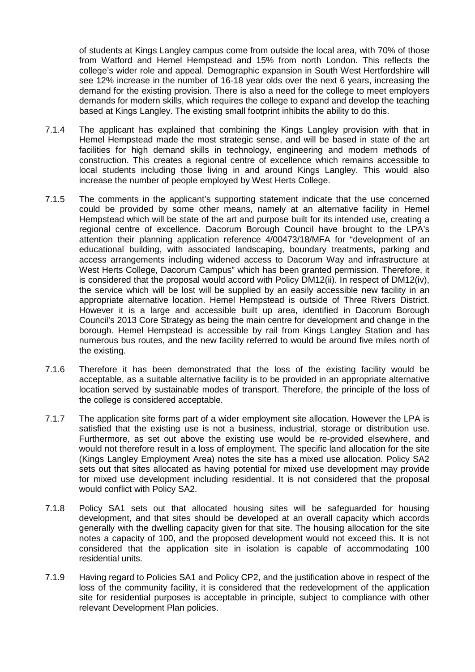of students at Kings Langley campus come from outside the local area, with 70% of those from Watford and Hemel Hempstead and 15% from north London. This reflects the college's wider role and appeal. Demographic expansion in South West Hertfordshire will see 12% increase in the number of 16-18 year olds over the next 6 years, increasing the demand for the existing provision. There is also a need for the college to meet employers demands for modern skills, which requires the college to expand and develop the teaching based at Kings Langley. The existing small footprint inhibits the ability to do this.

- 7.1.4 The applicant has explained that combining the Kings Langley provision with that in Hemel Hempstead made the most strategic sense, and will be based in state of the art facilities for high demand skills in technology, engineering and modern methods of construction. This creates a regional centre of excellence which remains accessible to local students including those living in and around Kings Langley. This would also increase the number of people employed by West Herts College.
- 7.1.5 The comments in the applicant's supporting statement indicate that the use concerned could be provided by some other means, namely at an alternative facility in Hemel Hempstead which will be state of the art and purpose built for its intended use, creating a regional centre of excellence. Dacorum Borough Council have brought to the LPA's attention their planning application reference 4/00473/18/MFA for "development of an educational building, with associated landscaping, boundary treatments, parking and access arrangements including widened access to Dacorum Way and infrastructure at West Herts College, Dacorum Campus" which has been granted permission. Therefore, it is considered that the proposal would accord with Policy DM12(ii). In respect of DM12(iv), the service which will be lost will be supplied by an easily accessible new facility in an appropriate alternative location. Hemel Hempstead is outside of Three Rivers District. However it is a large and accessible built up area, identified in Dacorum Borough Council's 2013 Core Strategy as being the main centre for development and change in the borough. Hemel Hempstead is accessible by rail from Kings Langley Station and has numerous bus routes, and the new facility referred to would be around five miles north of the existing.
- 7.1.6 Therefore it has been demonstrated that the loss of the existing facility would be acceptable, as a suitable alternative facility is to be provided in an appropriate alternative location served by sustainable modes of transport. Therefore, the principle of the loss of the college is considered acceptable.
- 7.1.7 The application site forms part of a wider employment site allocation. However the LPA is satisfied that the existing use is not a business, industrial, storage or distribution use. Furthermore, as set out above the existing use would be re-provided elsewhere, and would not therefore result in a loss of employment. The specific land allocation for the site (Kings Langley Employment Area) notes the site has a mixed use allocation. Policy SA2 sets out that sites allocated as having potential for mixed use development may provide for mixed use development including residential. It is not considered that the proposal would conflict with Policy SA2.
- 7.1.8 Policy SA1 sets out that allocated housing sites will be safeguarded for housing development, and that sites should be developed at an overall capacity which accords generally with the dwelling capacity given for that site. The housing allocation for the site notes a capacity of 100, and the proposed development would not exceed this. It is not considered that the application site in isolation is capable of accommodating 100 residential units.
- 7.1.9 Having regard to Policies SA1 and Policy CP2, and the justification above in respect of the loss of the community facility, it is considered that the redevelopment of the application site for residential purposes is acceptable in principle, subject to compliance with other relevant Development Plan policies.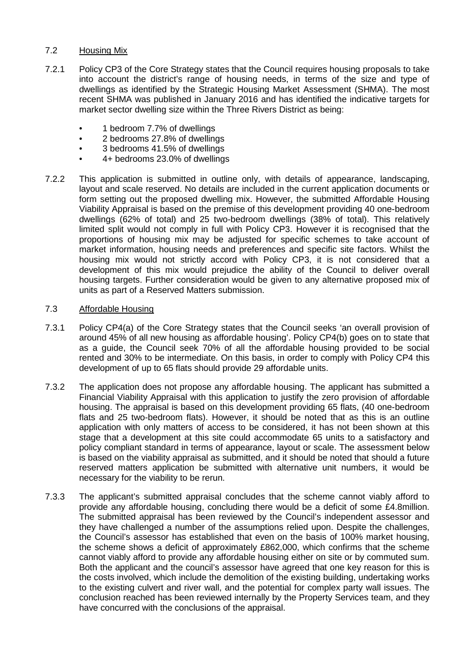# 7.2 Housing Mix

- 7.2.1 Policy CP3 of the Core Strategy states that the Council requires housing proposals to take into account the district's range of housing needs, in terms of the size and type of dwellings as identified by the Strategic Housing Market Assessment (SHMA). The most recent SHMA was published in January 2016 and has identified the indicative targets for market sector dwelling size within the Three Rivers District as being:
	- 1 bedroom 7.7% of dwellings
	- 2 bedrooms 27.8% of dwellings
	- 3 bedrooms 41.5% of dwellings
	- 4+ bedrooms 23.0% of dwellings
- 7.2.2 This application is submitted in outline only, with details of appearance, landscaping, layout and scale reserved. No details are included in the current application documents or form setting out the proposed dwelling mix. However, the submitted Affordable Housing Viability Appraisal is based on the premise of this development providing 40 one-bedroom dwellings (62% of total) and 25 two-bedroom dwellings (38% of total). This relatively limited split would not comply in full with Policy CP3. However it is recognised that the proportions of housing mix may be adjusted for specific schemes to take account of market information, housing needs and preferences and specific site factors. Whilst the housing mix would not strictly accord with Policy CP3, it is not considered that a development of this mix would prejudice the ability of the Council to deliver overall housing targets. Further consideration would be given to any alternative proposed mix of units as part of a Reserved Matters submission.

## 7.3 Affordable Housing

- 7.3.1 Policy CP4(a) of the Core Strategy states that the Council seeks 'an overall provision of around 45% of all new housing as affordable housing'. Policy CP4(b) goes on to state that as a guide, the Council seek 70% of all the affordable housing provided to be social rented and 30% to be intermediate. On this basis, in order to comply with Policy CP4 this development of up to 65 flats should provide 29 affordable units.
- 7.3.2 The application does not propose any affordable housing. The applicant has submitted a Financial Viability Appraisal with this application to justify the zero provision of affordable housing. The appraisal is based on this development providing 65 flats, (40 one-bedroom flats and 25 two-bedroom flats). However, it should be noted that as this is an outline application with only matters of access to be considered, it has not been shown at this stage that a development at this site could accommodate 65 units to a satisfactory and policy compliant standard in terms of appearance, layout or scale. The assessment below is based on the viability appraisal as submitted, and it should be noted that should a future reserved matters application be submitted with alternative unit numbers, it would be necessary for the viability to be rerun.
- 7.3.3 The applicant's submitted appraisal concludes that the scheme cannot viably afford to provide any affordable housing, concluding there would be a deficit of some £4.8million. The submitted appraisal has been reviewed by the Council's independent assessor and they have challenged a number of the assumptions relied upon. Despite the challenges, the Council's assessor has established that even on the basis of 100% market housing, the scheme shows a deficit of approximately £862,000, which confirms that the scheme cannot viably afford to provide any affordable housing either on site or by commuted sum. Both the applicant and the council's assessor have agreed that one key reason for this is the costs involved, which include the demolition of the existing building, undertaking works to the existing culvert and river wall, and the potential for complex party wall issues. The conclusion reached has been reviewed internally by the Property Services team, and they have concurred with the conclusions of the appraisal.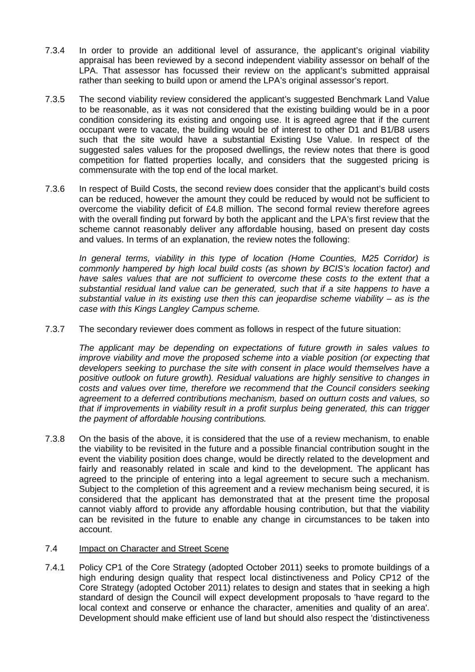- 7.3.4 In order to provide an additional level of assurance, the applicant's original viability appraisal has been reviewed by a second independent viability assessor on behalf of the LPA. That assessor has focussed their review on the applicant's submitted appraisal rather than seeking to build upon or amend the LPA's original assessor's report.
- 7.3.5 The second viability review considered the applicant's suggested Benchmark Land Value to be reasonable, as it was not considered that the existing building would be in a poor condition considering its existing and ongoing use. It is agreed agree that if the current occupant were to vacate, the building would be of interest to other D1 and B1/B8 users such that the site would have a substantial Existing Use Value. In respect of the suggested sales values for the proposed dwellings, the review notes that there is good competition for flatted properties locally, and considers that the suggested pricing is commensurate with the top end of the local market.
- 7.3.6 In respect of Build Costs, the second review does consider that the applicant's build costs can be reduced, however the amount they could be reduced by would not be sufficient to overcome the viability deficit of £4.8 million. The second formal review therefore agrees with the overall finding put forward by both the applicant and the LPA's first review that the scheme cannot reasonably deliver any affordable housing, based on present day costs and values. In terms of an explanation, the review notes the following:

*In general terms, viability in this type of location (Home Counties, M25 Corridor) is commonly hampered by high local build costs (as shown by BCIS's location factor) and have sales values that are not sufficient to overcome these costs to the extent that a substantial residual land value can be generated, such that if a site happens to have a substantial value in its existing use then this can jeopardise scheme viability – as is the case with this Kings Langley Campus scheme.*

7.3.7 The secondary reviewer does comment as follows in respect of the future situation:

*The applicant may be depending on expectations of future growth in sales values to improve viability and move the proposed scheme into a viable position (or expecting that developers seeking to purchase the site with consent in place would themselves have a positive outlook on future growth). Residual valuations are highly sensitive to changes in costs and values over time, therefore we recommend that the Council considers seeking agreement to a deferred contributions mechanism, based on outturn costs and values, so that if improvements in viability result in a profit surplus being generated, this can trigger the payment of affordable housing contributions.*

7.3.8 On the basis of the above, it is considered that the use of a review mechanism, to enable the viability to be revisited in the future and a possible financial contribution sought in the event the viability position does change, would be directly related to the development and fairly and reasonably related in scale and kind to the development. The applicant has agreed to the principle of entering into a legal agreement to secure such a mechanism. Subject to the completion of this agreement and a review mechanism being secured, it is considered that the applicant has demonstrated that at the present time the proposal cannot viably afford to provide any affordable housing contribution, but that the viability can be revisited in the future to enable any change in circumstances to be taken into account.

## 7.4 Impact on Character and Street Scene

7.4.1 Policy CP1 of the Core Strategy (adopted October 2011) seeks to promote buildings of a high enduring design quality that respect local distinctiveness and Policy CP12 of the Core Strategy (adopted October 2011) relates to design and states that in seeking a high standard of design the Council will expect development proposals to 'have regard to the local context and conserve or enhance the character, amenities and quality of an area'. Development should make efficient use of land but should also respect the 'distinctiveness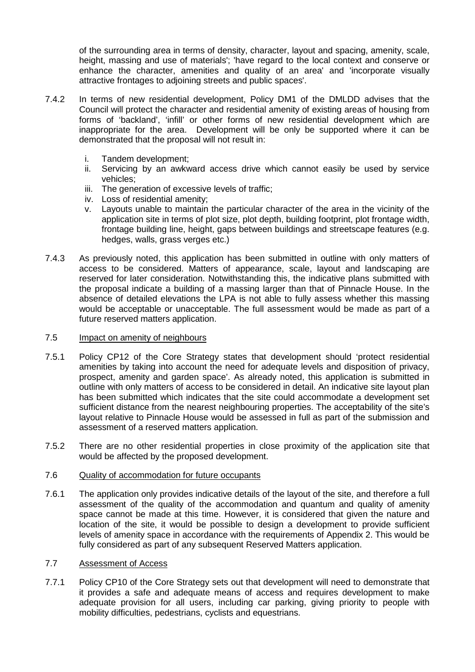of the surrounding area in terms of density, character, layout and spacing, amenity, scale, height, massing and use of materials'; 'have regard to the local context and conserve or enhance the character, amenities and quality of an area' and 'incorporate visually attractive frontages to adjoining streets and public spaces'.

- 7.4.2 In terms of new residential development, Policy DM1 of the DMLDD advises that the Council will protect the character and residential amenity of existing areas of housing from forms of 'backland', 'infill' or other forms of new residential development which are inappropriate for the area. Development will be only be supported where it can be demonstrated that the proposal will not result in:
	- i. Tandem development;
	- ii. Servicing by an awkward access drive which cannot easily be used by service vehicles;
	- iii. The generation of excessive levels of traffic;
	- iv. Loss of residential amenity;
	- v. Layouts unable to maintain the particular character of the area in the vicinity of the application site in terms of plot size, plot depth, building footprint, plot frontage width, frontage building line, height, gaps between buildings and streetscape features (e.g. hedges, walls, grass verges etc.)
- 7.4.3 As previously noted, this application has been submitted in outline with only matters of access to be considered. Matters of appearance, scale, layout and landscaping are reserved for later consideration. Notwithstanding this, the indicative plans submitted with the proposal indicate a building of a massing larger than that of Pinnacle House. In the absence of detailed elevations the LPA is not able to fully assess whether this massing would be acceptable or unacceptable. The full assessment would be made as part of a future reserved matters application.

### 7.5 Impact on amenity of neighbours

- 7.5.1 Policy CP12 of the Core Strategy states that development should 'protect residential amenities by taking into account the need for adequate levels and disposition of privacy, prospect, amenity and garden space'. As already noted, this application is submitted in outline with only matters of access to be considered in detail. An indicative site layout plan has been submitted which indicates that the site could accommodate a development set sufficient distance from the nearest neighbouring properties. The acceptability of the site's layout relative to Pinnacle House would be assessed in full as part of the submission and assessment of a reserved matters application.
- 7.5.2 There are no other residential properties in close proximity of the application site that would be affected by the proposed development.

## 7.6 Quality of accommodation for future occupants

7.6.1 The application only provides indicative details of the layout of the site, and therefore a full assessment of the quality of the accommodation and quantum and quality of amenity space cannot be made at this time. However, it is considered that given the nature and location of the site, it would be possible to design a development to provide sufficient levels of amenity space in accordance with the requirements of Appendix 2. This would be fully considered as part of any subsequent Reserved Matters application.

# 7.7 Assessment of Access

7.7.1 Policy CP10 of the Core Strategy sets out that development will need to demonstrate that it provides a safe and adequate means of access and requires development to make adequate provision for all users, including car parking, giving priority to people with mobility difficulties, pedestrians, cyclists and equestrians.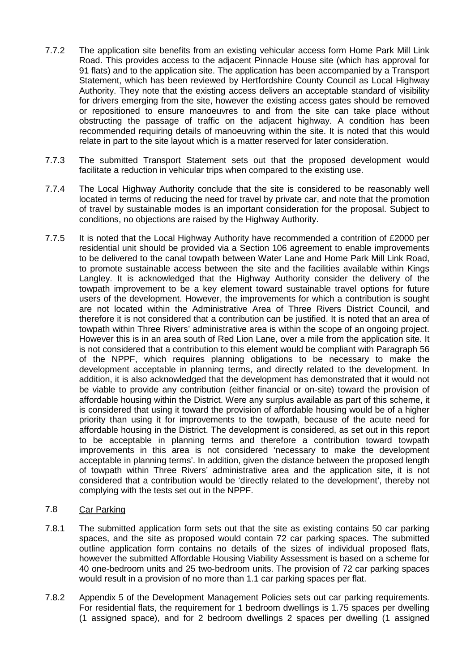- 7.7.2 The application site benefits from an existing vehicular access form Home Park Mill Link Road. This provides access to the adjacent Pinnacle House site (which has approval for 91 flats) and to the application site. The application has been accompanied by a Transport Statement, which has been reviewed by Hertfordshire County Council as Local Highway Authority. They note that the existing access delivers an acceptable standard of visibility for drivers emerging from the site, however the existing access gates should be removed or repositioned to ensure manoeuvres to and from the site can take place without obstructing the passage of traffic on the adjacent highway. A condition has been recommended requiring details of manoeuvring within the site. It is noted that this would relate in part to the site layout which is a matter reserved for later consideration.
- 7.7.3 The submitted Transport Statement sets out that the proposed development would facilitate a reduction in vehicular trips when compared to the existing use.
- 7.7.4 The Local Highway Authority conclude that the site is considered to be reasonably well located in terms of reducing the need for travel by private car, and note that the promotion of travel by sustainable modes is an important consideration for the proposal. Subject to conditions, no objections are raised by the Highway Authority.
- 7.7.5 It is noted that the Local Highway Authority have recommended a contrition of £2000 per residential unit should be provided via a Section 106 agreement to enable improvements to be delivered to the canal towpath between Water Lane and Home Park Mill Link Road, to promote sustainable access between the site and the facilities available within Kings Langley. It is acknowledged that the Highway Authority consider the delivery of the towpath improvement to be a key element toward sustainable travel options for future users of the development. However, the improvements for which a contribution is sought are not located within the Administrative Area of Three Rivers District Council, and therefore it is not considered that a contribution can be justified. It is noted that an area of towpath within Three Rivers' administrative area is within the scope of an ongoing project. However this is in an area south of Red Lion Lane, over a mile from the application site. It is not considered that a contribution to this element would be compliant with Paragraph 56 of the NPPF, which requires planning obligations to be necessary to make the development acceptable in planning terms, and directly related to the development. In addition, it is also acknowledged that the development has demonstrated that it would not be viable to provide any contribution (either financial or on-site) toward the provision of affordable housing within the District. Were any surplus available as part of this scheme, it is considered that using it toward the provision of affordable housing would be of a higher priority than using it for improvements to the towpath, because of the acute need for affordable housing in the District. The development is considered, as set out in this report to be acceptable in planning terms and therefore a contribution toward towpath improvements in this area is not considered 'necessary to make the development acceptable in planning terms'. In addition, given the distance between the proposed length of towpath within Three Rivers' administrative area and the application site, it is not considered that a contribution would be 'directly related to the development', thereby not complying with the tests set out in the NPPF.
- 7.8 Car Parking
- 7.8.1 The submitted application form sets out that the site as existing contains 50 car parking spaces, and the site as proposed would contain 72 car parking spaces. The submitted outline application form contains no details of the sizes of individual proposed flats, however the submitted Affordable Housing Viability Assessment is based on a scheme for 40 one-bedroom units and 25 two-bedroom units. The provision of 72 car parking spaces would result in a provision of no more than 1.1 car parking spaces per flat.
- 7.8.2 Appendix 5 of the Development Management Policies sets out car parking requirements. For residential flats, the requirement for 1 bedroom dwellings is 1.75 spaces per dwelling (1 assigned space), and for 2 bedroom dwellings 2 spaces per dwelling (1 assigned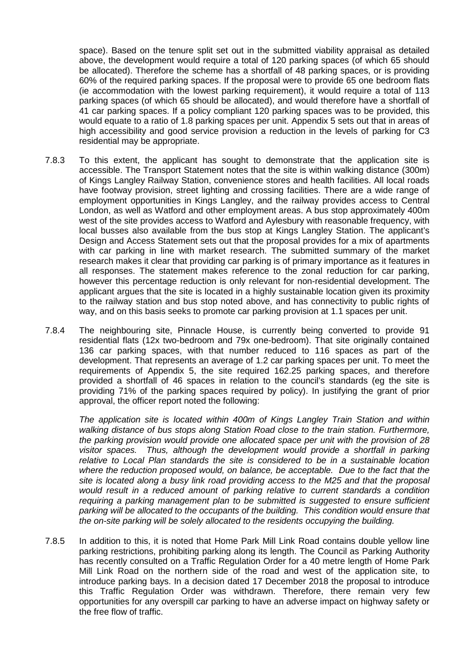space). Based on the tenure split set out in the submitted viability appraisal as detailed above, the development would require a total of 120 parking spaces (of which 65 should be allocated). Therefore the scheme has a shortfall of 48 parking spaces, or is providing 60% of the required parking spaces. If the proposal were to provide 65 one bedroom flats (ie accommodation with the lowest parking requirement), it would require a total of 113 parking spaces (of which 65 should be allocated), and would therefore have a shortfall of 41 car parking spaces. If a policy compliant 120 parking spaces was to be provided, this would equate to a ratio of 1.8 parking spaces per unit. Appendix 5 sets out that in areas of high accessibility and good service provision a reduction in the levels of parking for C3 residential may be appropriate.

- 7.8.3 To this extent, the applicant has sought to demonstrate that the application site is accessible. The Transport Statement notes that the site is within walking distance (300m) of Kings Langley Railway Station, convenience stores and health facilities. All local roads have footway provision, street lighting and crossing facilities. There are a wide range of employment opportunities in Kings Langley, and the railway provides access to Central London, as well as Watford and other employment areas. A bus stop approximately 400m west of the site provides access to Watford and Aylesbury with reasonable frequency, with local busses also available from the bus stop at Kings Langley Station. The applicant's Design and Access Statement sets out that the proposal provides for a mix of apartments with car parking in line with market research. The submitted summary of the market research makes it clear that providing car parking is of primary importance as it features in all responses. The statement makes reference to the zonal reduction for car parking, however this percentage reduction is only relevant for non-residential development. The applicant argues that the site is located in a highly sustainable location given its proximity to the railway station and bus stop noted above, and has connectivity to public rights of way, and on this basis seeks to promote car parking provision at 1.1 spaces per unit.
- 7.8.4 The neighbouring site, Pinnacle House, is currently being converted to provide 91 residential flats (12x two-bedroom and 79x one-bedroom). That site originally contained 136 car parking spaces, with that number reduced to 116 spaces as part of the development. That represents an average of 1.2 car parking spaces per unit. To meet the requirements of Appendix 5, the site required 162.25 parking spaces, and therefore provided a shortfall of 46 spaces in relation to the council's standards (eg the site is providing 71% of the parking spaces required by policy). In justifying the grant of prior approval, the officer report noted the following:

*The application site is located within 400m of Kings Langley Train Station and within walking distance of bus stops along Station Road close to the train station. Furthermore, the parking provision would provide one allocated space per unit with the provision of 28 visitor spaces. Thus, although the development would provide a shortfall in parking relative to Local Plan standards the site is considered to be in a sustainable location where the reduction proposed would, on balance, be acceptable. Due to the fact that the site is located along a busy link road providing access to the M25 and that the proposal would result in a reduced amount of parking relative to current standards a condition requiring a parking management plan to be submitted is suggested to ensure sufficient parking will be allocated to the occupants of the building. This condition would ensure that the on-site parking will be solely allocated to the residents occupying the building.*

7.8.5 In addition to this, it is noted that Home Park Mill Link Road contains double yellow line parking restrictions, prohibiting parking along its length. The Council as Parking Authority has recently consulted on a Traffic Regulation Order for a 40 metre length of Home Park Mill Link Road on the northern side of the road and west of the application site, to introduce parking bays. In a decision dated 17 December 2018 the proposal to introduce this Traffic Regulation Order was withdrawn. Therefore, there remain very few opportunities for any overspill car parking to have an adverse impact on highway safety or the free flow of traffic.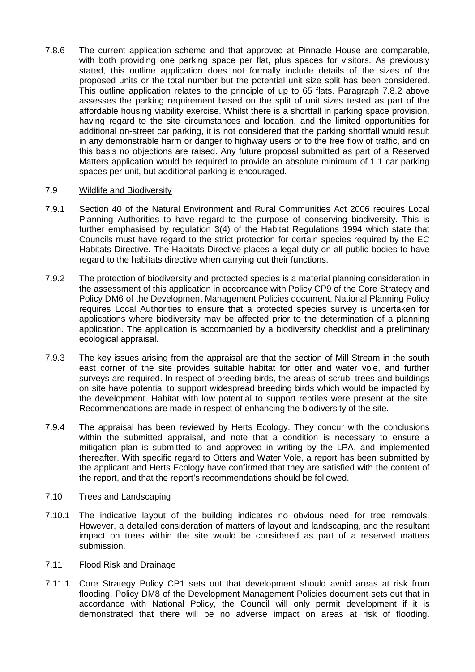7.8.6 The current application scheme and that approved at Pinnacle House are comparable, with both providing one parking space per flat, plus spaces for visitors. As previously stated, this outline application does not formally include details of the sizes of the proposed units or the total number but the potential unit size split has been considered. This outline application relates to the principle of up to 65 flats. Paragraph 7.8.2 above assesses the parking requirement based on the split of unit sizes tested as part of the affordable housing viability exercise. Whilst there is a shortfall in parking space provision, having regard to the site circumstances and location, and the limited opportunities for additional on-street car parking, it is not considered that the parking shortfall would result in any demonstrable harm or danger to highway users or to the free flow of traffic, and on this basis no objections are raised. Any future proposal submitted as part of a Reserved Matters application would be required to provide an absolute minimum of 1.1 car parking spaces per unit, but additional parking is encouraged.

## 7.9 Wildlife and Biodiversity

- 7.9.1 Section 40 of the Natural Environment and Rural Communities Act 2006 requires Local Planning Authorities to have regard to the purpose of conserving biodiversity. This is further emphasised by regulation 3(4) of the Habitat Regulations 1994 which state that Councils must have regard to the strict protection for certain species required by the EC Habitats Directive. The Habitats Directive places a legal duty on all public bodies to have regard to the habitats directive when carrying out their functions.
- 7.9.2 The protection of biodiversity and protected species is a material planning consideration in the assessment of this application in accordance with Policy CP9 of the Core Strategy and Policy DM6 of the Development Management Policies document. National Planning Policy requires Local Authorities to ensure that a protected species survey is undertaken for applications where biodiversity may be affected prior to the determination of a planning application. The application is accompanied by a biodiversity checklist and a preliminary ecological appraisal.
- 7.9.3 The key issues arising from the appraisal are that the section of Mill Stream in the south east corner of the site provides suitable habitat for otter and water vole, and further surveys are required. In respect of breeding birds, the areas of scrub, trees and buildings on site have potential to support widespread breeding birds which would be impacted by the development. Habitat with low potential to support reptiles were present at the site. Recommendations are made in respect of enhancing the biodiversity of the site.
- 7.9.4 The appraisal has been reviewed by Herts Ecology. They concur with the conclusions within the submitted appraisal, and note that a condition is necessary to ensure a mitigation plan is submitted to and approved in writing by the LPA, and implemented thereafter. With specific regard to Otters and Water Vole, a report has been submitted by the applicant and Herts Ecology have confirmed that they are satisfied with the content of the report, and that the report's recommendations should be followed.

## 7.10 Trees and Landscaping

7.10.1 The indicative layout of the building indicates no obvious need for tree removals. However, a detailed consideration of matters of layout and landscaping, and the resultant impact on trees within the site would be considered as part of a reserved matters submission.

### 7.11 Flood Risk and Drainage

7.11.1 Core Strategy Policy CP1 sets out that development should avoid areas at risk from flooding. Policy DM8 of the Development Management Policies document sets out that in accordance with National Policy, the Council will only permit development if it is demonstrated that there will be no adverse impact on areas at risk of flooding.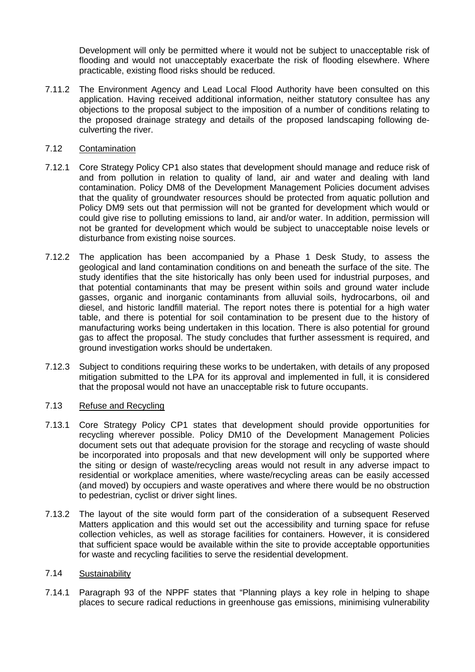Development will only be permitted where it would not be subject to unacceptable risk of flooding and would not unacceptably exacerbate the risk of flooding elsewhere. Where practicable, existing flood risks should be reduced.

7.11.2 The Environment Agency and Lead Local Flood Authority have been consulted on this application. Having received additional information, neither statutory consultee has any objections to the proposal subject to the imposition of a number of conditions relating to the proposed drainage strategy and details of the proposed landscaping following deculverting the river.

## 7.12 Contamination

- 7.12.1 Core Strategy Policy CP1 also states that development should manage and reduce risk of and from pollution in relation to quality of land, air and water and dealing with land contamination. Policy DM8 of the Development Management Policies document advises that the quality of groundwater resources should be protected from aquatic pollution and Policy DM9 sets out that permission will not be granted for development which would or could give rise to polluting emissions to land, air and/or water. In addition, permission will not be granted for development which would be subject to unacceptable noise levels or disturbance from existing noise sources.
- 7.12.2 The application has been accompanied by a Phase 1 Desk Study, to assess the geological and land contamination conditions on and beneath the surface of the site. The study identifies that the site historically has only been used for industrial purposes, and that potential contaminants that may be present within soils and ground water include gasses, organic and inorganic contaminants from alluvial soils, hydrocarbons, oil and diesel, and historic landfill material. The report notes there is potential for a high water table, and there is potential for soil contamination to be present due to the history of manufacturing works being undertaken in this location. There is also potential for ground gas to affect the proposal. The study concludes that further assessment is required, and ground investigation works should be undertaken.
- 7.12.3 Subject to conditions requiring these works to be undertaken, with details of any proposed mitigation submitted to the LPA for its approval and implemented in full, it is considered that the proposal would not have an unacceptable risk to future occupants.

# 7.13 Refuse and Recycling

- 7.13.1 Core Strategy Policy CP1 states that development should provide opportunities for recycling wherever possible. Policy DM10 of the Development Management Policies document sets out that adequate provision for the storage and recycling of waste should be incorporated into proposals and that new development will only be supported where the siting or design of waste/recycling areas would not result in any adverse impact to residential or workplace amenities, where waste/recycling areas can be easily accessed (and moved) by occupiers and waste operatives and where there would be no obstruction to pedestrian, cyclist or driver sight lines.
- 7.13.2 The layout of the site would form part of the consideration of a subsequent Reserved Matters application and this would set out the accessibility and turning space for refuse collection vehicles, as well as storage facilities for containers. However, it is considered that sufficient space would be available within the site to provide acceptable opportunities for waste and recycling facilities to serve the residential development.

### 7.14 Sustainability

7.14.1 Paragraph 93 of the NPPF states that "Planning plays a key role in helping to shape places to secure radical reductions in greenhouse gas emissions, minimising vulnerability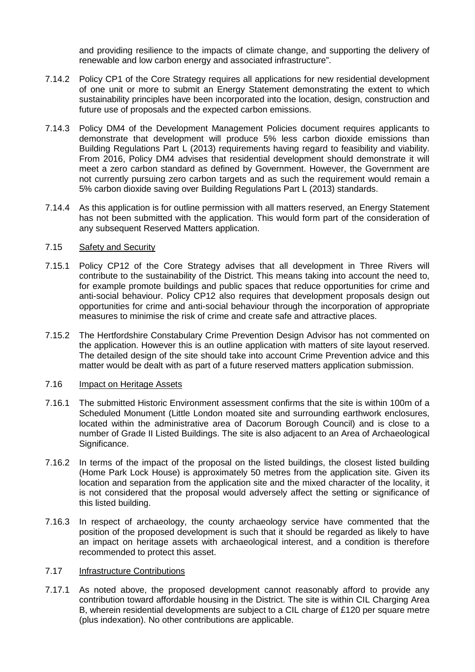and providing resilience to the impacts of climate change, and supporting the delivery of renewable and low carbon energy and associated infrastructure".

- 7.14.2 Policy CP1 of the Core Strategy requires all applications for new residential development of one unit or more to submit an Energy Statement demonstrating the extent to which sustainability principles have been incorporated into the location, design, construction and future use of proposals and the expected carbon emissions.
- 7.14.3 Policy DM4 of the Development Management Policies document requires applicants to demonstrate that development will produce 5% less carbon dioxide emissions than Building Regulations Part L (2013) requirements having regard to feasibility and viability. From 2016, Policy DM4 advises that residential development should demonstrate it will meet a zero carbon standard as defined by Government. However, the Government are not currently pursuing zero carbon targets and as such the requirement would remain a 5% carbon dioxide saving over Building Regulations Part L (2013) standards.
- 7.14.4 As this application is for outline permission with all matters reserved, an Energy Statement has not been submitted with the application. This would form part of the consideration of any subsequent Reserved Matters application.

## 7.15 Safety and Security

- 7.15.1 Policy CP12 of the Core Strategy advises that all development in Three Rivers will contribute to the sustainability of the District. This means taking into account the need to, for example promote buildings and public spaces that reduce opportunities for crime and anti-social behaviour. Policy CP12 also requires that development proposals design out opportunities for crime and anti-social behaviour through the incorporation of appropriate measures to minimise the risk of crime and create safe and attractive places.
- 7.15.2 The Hertfordshire Constabulary Crime Prevention Design Advisor has not commented on the application. However this is an outline application with matters of site layout reserved. The detailed design of the site should take into account Crime Prevention advice and this matter would be dealt with as part of a future reserved matters application submission.

### 7.16 Impact on Heritage Assets

- 7.16.1 The submitted Historic Environment assessment confirms that the site is within 100m of a Scheduled Monument (Little London moated site and surrounding earthwork enclosures, located within the administrative area of Dacorum Borough Council) and is close to a number of Grade II Listed Buildings. The site is also adjacent to an Area of Archaeological Significance.
- 7.16.2 In terms of the impact of the proposal on the listed buildings, the closest listed building (Home Park Lock House) is approximately 50 metres from the application site. Given its location and separation from the application site and the mixed character of the locality, it is not considered that the proposal would adversely affect the setting or significance of this listed building.
- 7.16.3 In respect of archaeology, the county archaeology service have commented that the position of the proposed development is such that it should be regarded as likely to have an impact on heritage assets with archaeological interest, and a condition is therefore recommended to protect this asset.

## 7.17 Infrastructure Contributions

7.17.1 As noted above, the proposed development cannot reasonably afford to provide any contribution toward affordable housing in the District. The site is within CIL Charging Area B, wherein residential developments are subject to a CIL charge of £120 per square metre (plus indexation). No other contributions are applicable.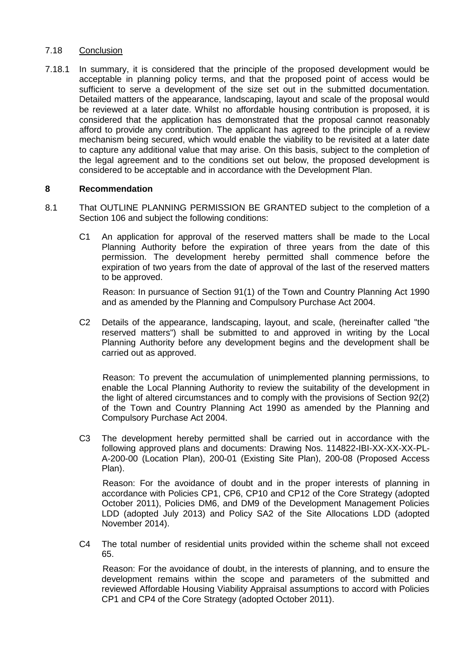## 7.18 Conclusion

7.18.1 In summary, it is considered that the principle of the proposed development would be acceptable in planning policy terms, and that the proposed point of access would be sufficient to serve a development of the size set out in the submitted documentation. Detailed matters of the appearance, landscaping, layout and scale of the proposal would be reviewed at a later date. Whilst no affordable housing contribution is proposed, it is considered that the application has demonstrated that the proposal cannot reasonably afford to provide any contribution. The applicant has agreed to the principle of a review mechanism being secured, which would enable the viability to be revisited at a later date to capture any additional value that may arise. On this basis, subject to the completion of the legal agreement and to the conditions set out below, the proposed development is considered to be acceptable and in accordance with the Development Plan.

## **8 Recommendation**

- 8.1 That OUTLINE PLANNING PERMISSION BE GRANTED subject to the completion of a Section 106 and subject the following conditions:
	- C1 An application for approval of the reserved matters shall be made to the Local Planning Authority before the expiration of three years from the date of this permission. The development hereby permitted shall commence before the expiration of two years from the date of approval of the last of the reserved matters to be approved.

Reason: In pursuance of Section 91(1) of the Town and Country Planning Act 1990 and as amended by the Planning and Compulsory Purchase Act 2004.

C2 Details of the appearance, landscaping, layout, and scale, (hereinafter called "the reserved matters") shall be submitted to and approved in writing by the Local Planning Authority before any development begins and the development shall be carried out as approved.

Reason: To prevent the accumulation of unimplemented planning permissions, to enable the Local Planning Authority to review the suitability of the development in the light of altered circumstances and to comply with the provisions of Section 92(2) of the Town and Country Planning Act 1990 as amended by the Planning and Compulsory Purchase Act 2004.

C3 The development hereby permitted shall be carried out in accordance with the following approved plans and documents: Drawing Nos. 114822-IBI-XX-XX-XX-PL-A-200-00 (Location Plan), 200-01 (Existing Site Plan), 200-08 (Proposed Access Plan).

Reason: For the avoidance of doubt and in the proper interests of planning in accordance with Policies CP1, CP6, CP10 and CP12 of the Core Strategy (adopted October 2011), Policies DM6, and DM9 of the Development Management Policies LDD (adopted July 2013) and Policy SA2 of the Site Allocations LDD (adopted November 2014).

C4 The total number of residential units provided within the scheme shall not exceed 65.

Reason: For the avoidance of doubt, in the interests of planning, and to ensure the development remains within the scope and parameters of the submitted and reviewed Affordable Housing Viability Appraisal assumptions to accord with Policies CP1 and CP4 of the Core Strategy (adopted October 2011).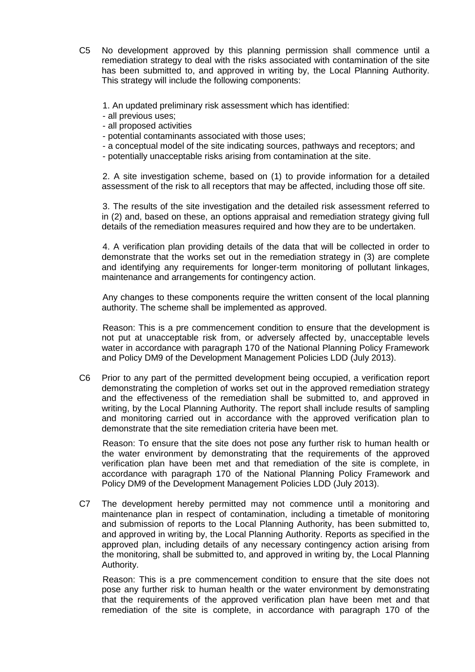- C5 No development approved by this planning permission shall commence until a remediation strategy to deal with the risks associated with contamination of the site has been submitted to, and approved in writing by, the Local Planning Authority. This strategy will include the following components:
	- 1. An updated preliminary risk assessment which has identified:
	- all previous uses;
	- all proposed activities
	- potential contaminants associated with those uses;
	- a conceptual model of the site indicating sources, pathways and receptors; and
	- potentially unacceptable risks arising from contamination at the site.

2. A site investigation scheme, based on (1) to provide information for a detailed assessment of the risk to all receptors that may be affected, including those off site.

3. The results of the site investigation and the detailed risk assessment referred to in (2) and, based on these, an options appraisal and remediation strategy giving full details of the remediation measures required and how they are to be undertaken.

4. A verification plan providing details of the data that will be collected in order to demonstrate that the works set out in the remediation strategy in (3) are complete and identifying any requirements for longer-term monitoring of pollutant linkages, maintenance and arrangements for contingency action.

Any changes to these components require the written consent of the local planning authority. The scheme shall be implemented as approved.

Reason: This is a pre commencement condition to ensure that the development is not put at unacceptable risk from, or adversely affected by, unacceptable levels water in accordance with paragraph 170 of the National Planning Policy Framework and Policy DM9 of the Development Management Policies LDD (July 2013).

C6 Prior to any part of the permitted development being occupied, a verification report demonstrating the completion of works set out in the approved remediation strategy and the effectiveness of the remediation shall be submitted to, and approved in writing, by the Local Planning Authority. The report shall include results of sampling and monitoring carried out in accordance with the approved verification plan to demonstrate that the site remediation criteria have been met.

Reason: To ensure that the site does not pose any further risk to human health or the water environment by demonstrating that the requirements of the approved verification plan have been met and that remediation of the site is complete, in accordance with paragraph 170 of the National Planning Policy Framework and Policy DM9 of the Development Management Policies LDD (July 2013).

C7 The development hereby permitted may not commence until a monitoring and maintenance plan in respect of contamination, including a timetable of monitoring and submission of reports to the Local Planning Authority, has been submitted to, and approved in writing by, the Local Planning Authority. Reports as specified in the approved plan, including details of any necessary contingency action arising from the monitoring, shall be submitted to, and approved in writing by, the Local Planning Authority.

Reason: This is a pre commencement condition to ensure that the site does not pose any further risk to human health or the water environment by demonstrating that the requirements of the approved verification plan have been met and that remediation of the site is complete, in accordance with paragraph 170 of the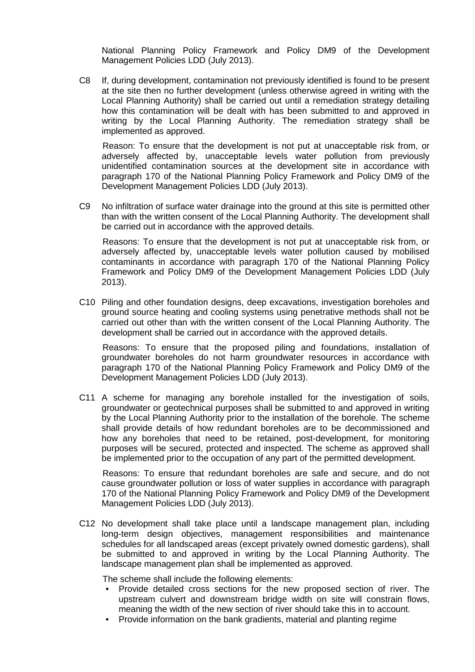National Planning Policy Framework and Policy DM9 of the Development Management Policies LDD (July 2013).

C8 If, during development, contamination not previously identified is found to be present at the site then no further development (unless otherwise agreed in writing with the Local Planning Authority) shall be carried out until a remediation strategy detailing how this contamination will be dealt with has been submitted to and approved in writing by the Local Planning Authority. The remediation strategy shall be implemented as approved.

Reason: To ensure that the development is not put at unacceptable risk from, or adversely affected by, unacceptable levels water pollution from previously unidentified contamination sources at the development site in accordance with paragraph 170 of the National Planning Policy Framework and Policy DM9 of the Development Management Policies LDD (July 2013).

C9 No infiltration of surface water drainage into the ground at this site is permitted other than with the written consent of the Local Planning Authority. The development shall be carried out in accordance with the approved details.

Reasons: To ensure that the development is not put at unacceptable risk from, or adversely affected by, unacceptable levels water pollution caused by mobilised contaminants in accordance with paragraph 170 of the National Planning Policy Framework and Policy DM9 of the Development Management Policies LDD (July 2013).

C10 Piling and other foundation designs, deep excavations, investigation boreholes and ground source heating and cooling systems using penetrative methods shall not be carried out other than with the written consent of the Local Planning Authority. The development shall be carried out in accordance with the approved details.

Reasons: To ensure that the proposed piling and foundations, installation of groundwater boreholes do not harm groundwater resources in accordance with paragraph 170 of the National Planning Policy Framework and Policy DM9 of the Development Management Policies LDD (July 2013).

C11 A scheme for managing any borehole installed for the investigation of soils, groundwater or geotechnical purposes shall be submitted to and approved in writing by the Local Planning Authority prior to the installation of the borehole. The scheme shall provide details of how redundant boreholes are to be decommissioned and how any boreholes that need to be retained, post-development, for monitoring purposes will be secured, protected and inspected. The scheme as approved shall be implemented prior to the occupation of any part of the permitted development.

Reasons: To ensure that redundant boreholes are safe and secure, and do not cause groundwater pollution or loss of water supplies in accordance with paragraph 170 of the National Planning Policy Framework and Policy DM9 of the Development Management Policies LDD (July 2013).

C12 No development shall take place until a landscape management plan, including long-term design objectives, management responsibilities and maintenance schedules for all landscaped areas (except privately owned domestic gardens), shall be submitted to and approved in writing by the Local Planning Authority. The landscape management plan shall be implemented as approved.

The scheme shall include the following elements:

- Provide detailed cross sections for the new proposed section of river. The upstream culvert and downstream bridge width on site will constrain flows, meaning the width of the new section of river should take this in to account.
- Provide information on the bank gradients, material and planting regime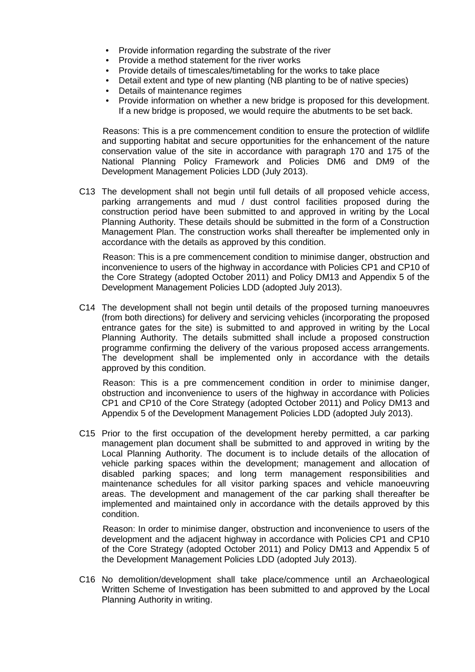- Provide information regarding the substrate of the river
- Provide a method statement for the river works
- Provide details of timescales/timetabling for the works to take place
- Detail extent and type of new planting (NB planting to be of native species)
- Details of maintenance regimes
- Provide information on whether a new bridge is proposed for this development. If a new bridge is proposed, we would require the abutments to be set back.

Reasons: This is a pre commencement condition to ensure the protection of wildlife and supporting habitat and secure opportunities for the enhancement of the nature conservation value of the site in accordance with paragraph 170 and 175 of the National Planning Policy Framework and Policies DM6 and DM9 of the Development Management Policies LDD (July 2013).

C13 The development shall not begin until full details of all proposed vehicle access, parking arrangements and mud / dust control facilities proposed during the construction period have been submitted to and approved in writing by the Local Planning Authority. These details should be submitted in the form of a Construction Management Plan. The construction works shall thereafter be implemented only in accordance with the details as approved by this condition.

Reason: This is a pre commencement condition to minimise danger, obstruction and inconvenience to users of the highway in accordance with Policies CP1 and CP10 of the Core Strategy (adopted October 2011) and Policy DM13 and Appendix 5 of the Development Management Policies LDD (adopted July 2013).

C14 The development shall not begin until details of the proposed turning manoeuvres (from both directions) for delivery and servicing vehicles (incorporating the proposed entrance gates for the site) is submitted to and approved in writing by the Local Planning Authority. The details submitted shall include a proposed construction programme confirming the delivery of the various proposed access arrangements. The development shall be implemented only in accordance with the details approved by this condition.

Reason: This is a pre commencement condition in order to minimise danger, obstruction and inconvenience to users of the highway in accordance with Policies CP1 and CP10 of the Core Strategy (adopted October 2011) and Policy DM13 and Appendix 5 of the Development Management Policies LDD (adopted July 2013).

C15 Prior to the first occupation of the development hereby permitted, a car parking management plan document shall be submitted to and approved in writing by the Local Planning Authority. The document is to include details of the allocation of vehicle parking spaces within the development; management and allocation of disabled parking spaces; and long term management responsibilities and maintenance schedules for all visitor parking spaces and vehicle manoeuvring areas. The development and management of the car parking shall thereafter be implemented and maintained only in accordance with the details approved by this condition.

Reason: In order to minimise danger, obstruction and inconvenience to users of the development and the adjacent highway in accordance with Policies CP1 and CP10 of the Core Strategy (adopted October 2011) and Policy DM13 and Appendix 5 of the Development Management Policies LDD (adopted July 2013).

C16 No demolition/development shall take place/commence until an Archaeological Written Scheme of Investigation has been submitted to and approved by the Local Planning Authority in writing.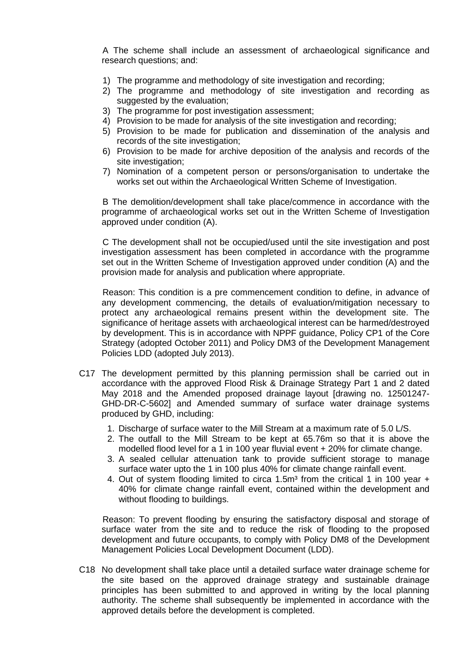A The scheme shall include an assessment of archaeological significance and research questions; and:

- 1) The programme and methodology of site investigation and recording;
- 2) The programme and methodology of site investigation and recording as suggested by the evaluation;
- 3) The programme for post investigation assessment;
- 4) Provision to be made for analysis of the site investigation and recording;
- 5) Provision to be made for publication and dissemination of the analysis and records of the site investigation:
- 6) Provision to be made for archive deposition of the analysis and records of the site investigation;
- 7) Nomination of a competent person or persons/organisation to undertake the works set out within the Archaeological Written Scheme of Investigation.

B The demolition/development shall take place/commence in accordance with the programme of archaeological works set out in the Written Scheme of Investigation approved under condition (A).

C The development shall not be occupied/used until the site investigation and post investigation assessment has been completed in accordance with the programme set out in the Written Scheme of Investigation approved under condition (A) and the provision made for analysis and publication where appropriate.

Reason: This condition is a pre commencement condition to define, in advance of any development commencing, the details of evaluation/mitigation necessary to protect any archaeological remains present within the development site. The significance of heritage assets with archaeological interest can be harmed/destroyed by development. This is in accordance with NPPF guidance, Policy CP1 of the Core Strategy (adopted October 2011) and Policy DM3 of the Development Management Policies LDD (adopted July 2013).

- C17 The development permitted by this planning permission shall be carried out in accordance with the approved Flood Risk & Drainage Strategy Part 1 and 2 dated May 2018 and the Amended proposed drainage layout [drawing no. 12501247- GHD-DR-C-5602] and Amended summary of surface water drainage systems produced by GHD, including:
	- 1. Discharge of surface water to the Mill Stream at a maximum rate of 5.0 L/S.
	- 2. The outfall to the Mill Stream to be kept at 65.76m so that it is above the modelled flood level for a 1 in 100 year fluvial event + 20% for climate change.
	- 3. A sealed cellular attenuation tank to provide sufficient storage to manage surface water upto the 1 in 100 plus 40% for climate change rainfall event.
	- 4. Out of system flooding limited to circa 1.5 $m<sup>3</sup>$  from the critical 1 in 100 year + 40% for climate change rainfall event, contained within the development and without flooding to buildings.

Reason: To prevent flooding by ensuring the satisfactory disposal and storage of surface water from the site and to reduce the risk of flooding to the proposed development and future occupants, to comply with Policy DM8 of the Development Management Policies Local Development Document (LDD).

C18 No development shall take place until a detailed surface water drainage scheme for the site based on the approved drainage strategy and sustainable drainage principles has been submitted to and approved in writing by the local planning authority. The scheme shall subsequently be implemented in accordance with the approved details before the development is completed.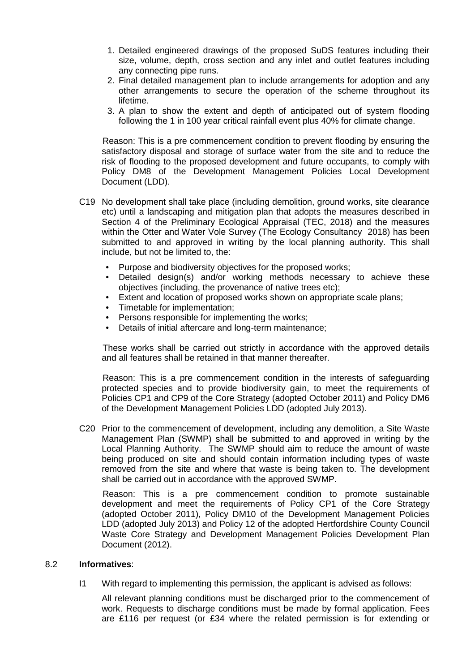- 1. Detailed engineered drawings of the proposed SuDS features including their size, volume, depth, cross section and any inlet and outlet features including any connecting pipe runs.
- 2. Final detailed management plan to include arrangements for adoption and any other arrangements to secure the operation of the scheme throughout its lifetime.
- 3. A plan to show the extent and depth of anticipated out of system flooding following the 1 in 100 year critical rainfall event plus 40% for climate change.

Reason: This is a pre commencement condition to prevent flooding by ensuring the satisfactory disposal and storage of surface water from the site and to reduce the risk of flooding to the proposed development and future occupants, to comply with Policy DM8 of the Development Management Policies Local Development Document (LDD).

- C19 No development shall take place (including demolition, ground works, site clearance etc) until a landscaping and mitigation plan that adopts the measures described in Section 4 of the Preliminary Ecological Appraisal (TEC, 2018) and the measures within the Otter and Water Vole Survey (The Ecology Consultancy 2018) has been submitted to and approved in writing by the local planning authority. This shall include, but not be limited to, the:
	- Purpose and biodiversity objectives for the proposed works:
	- Detailed design(s) and/or working methods necessary to achieve these objectives (including, the provenance of native trees etc);
	- Extent and location of proposed works shown on appropriate scale plans;
	- Timetable for implementation;
	- Persons responsible for implementing the works;
	- Details of initial aftercare and long-term maintenance;

These works shall be carried out strictly in accordance with the approved details and all features shall be retained in that manner thereafter.

Reason: This is a pre commencement condition in the interests of safeguarding protected species and to provide biodiversity gain, to meet the requirements of Policies CP1 and CP9 of the Core Strategy (adopted October 2011) and Policy DM6 of the Development Management Policies LDD (adopted July 2013).

C20 Prior to the commencement of development, including any demolition, a Site Waste Management Plan (SWMP) shall be submitted to and approved in writing by the Local Planning Authority. The SWMP should aim to reduce the amount of waste being produced on site and should contain information including types of waste removed from the site and where that waste is being taken to. The development shall be carried out in accordance with the approved SWMP.

Reason: This is a pre commencement condition to promote sustainable development and meet the requirements of Policy CP1 of the Core Strategy (adopted October 2011), Policy DM10 of the Development Management Policies LDD (adopted July 2013) and Policy 12 of the adopted Hertfordshire County Council Waste Core Strategy and Development Management Policies Development Plan Document (2012).

### 8.2 **Informatives**:

I1 With regard to implementing this permission, the applicant is advised as follows:

All relevant planning conditions must be discharged prior to the commencement of work. Requests to discharge conditions must be made by formal application. Fees are £116 per request (or £34 where the related permission is for extending or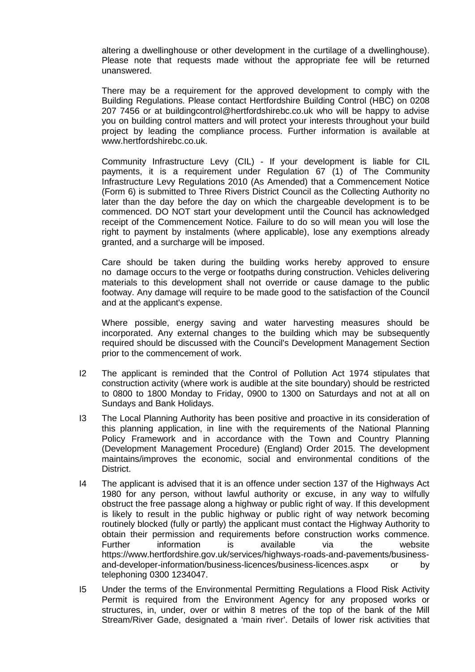altering a dwellinghouse or other development in the curtilage of a dwellinghouse). Please note that requests made without the appropriate fee will be returned unanswered.

There may be a requirement for the approved development to comply with the Building Regulations. Please contact Hertfordshire Building Control (HBC) on 0208 207 7456 or at buildingcontrol@hertfordshirebc.co.uk who will be happy to advise you on building control matters and will protect your interests throughout your build project by leading the compliance process. Further information is available at www.hertfordshirebc.co.uk.

Community Infrastructure Levy (CIL) - If your development is liable for CIL payments, it is a requirement under Regulation 67 (1) of The Community Infrastructure Levy Regulations 2010 (As Amended) that a Commencement Notice (Form 6) is submitted to Three Rivers District Council as the Collecting Authority no later than the day before the day on which the chargeable development is to be commenced. DO NOT start your development until the Council has acknowledged receipt of the Commencement Notice. Failure to do so will mean you will lose the right to payment by instalments (where applicable), lose any exemptions already granted, and a surcharge will be imposed.

Care should be taken during the building works hereby approved to ensure no damage occurs to the verge or footpaths during construction. Vehicles delivering materials to this development shall not override or cause damage to the public footway. Any damage will require to be made good to the satisfaction of the Council and at the applicant's expense.

Where possible, energy saving and water harvesting measures should be incorporated. Any external changes to the building which may be subsequently required should be discussed with the Council's Development Management Section prior to the commencement of work.

- I2 The applicant is reminded that the Control of Pollution Act 1974 stipulates that construction activity (where work is audible at the site boundary) should be restricted to 0800 to 1800 Monday to Friday, 0900 to 1300 on Saturdays and not at all on Sundays and Bank Holidays.
- I3 The Local Planning Authority has been positive and proactive in its consideration of this planning application, in line with the requirements of the National Planning Policy Framework and in accordance with the Town and Country Planning (Development Management Procedure) (England) Order 2015. The development maintains/improves the economic, social and environmental conditions of the District.
- I4 The applicant is advised that it is an offence under section 137 of the Highways Act 1980 for any person, without lawful authority or excuse, in any way to wilfully obstruct the free passage along a highway or public right of way. If this development is likely to result in the public highway or public right of way network becoming routinely blocked (fully or partly) the applicant must contact the Highway Authority to obtain their permission and requirements before construction works commence. Further information is available via the website https://www.hertfordshire.gov.uk/services/highways-roads-and-pavements/businessand-developer-information/business-licences/business-licences.aspx or by telephoning 0300 1234047.
- I5 Under the terms of the Environmental Permitting Regulations a Flood Risk Activity Permit is required from the Environment Agency for any proposed works or structures, in, under, over or within 8 metres of the top of the bank of the Mill Stream/River Gade, designated a 'main river'. Details of lower risk activities that